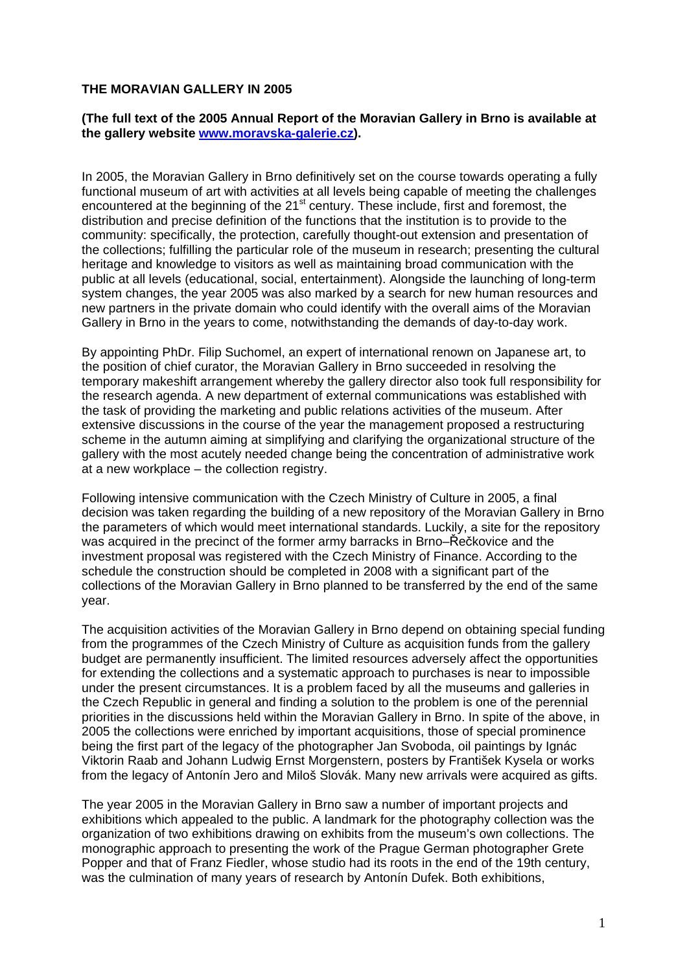## **THE MORAVIAN GALLERY IN 2005**

### **(The full text of the 2005 Annual Report of the Moravian Gallery in Brno is available at the gallery website [www.moravska-galerie.cz](http://www.moravska-galerie.cz/)).**

In 2005, the Moravian Gallery in Brno definitively set on the course towards operating a fully functional museum of art with activities at all levels being capable of meeting the challenges encountered at the beginning of the 21<sup>st</sup> century. These include, first and foremost, the distribution and precise definition of the functions that the institution is to provide to the community: specifically, the protection, carefully thought-out extension and presentation of the collections; fulfilling the particular role of the museum in research; presenting the cultural heritage and knowledge to visitors as well as maintaining broad communication with the public at all levels (educational, social, entertainment). Alongside the launching of long-term system changes, the year 2005 was also marked by a search for new human resources and new partners in the private domain who could identify with the overall aims of the Moravian Gallery in Brno in the years to come, notwithstanding the demands of day-to-day work.

By appointing PhDr. Filip Suchomel, an expert of international renown on Japanese art, to the position of chief curator, the Moravian Gallery in Brno succeeded in resolving the temporary makeshift arrangement whereby the gallery director also took full responsibility for the research agenda. A new department of external communications was established with the task of providing the marketing and public relations activities of the museum. After extensive discussions in the course of the year the management proposed a restructuring scheme in the autumn aiming at simplifying and clarifying the organizational structure of the gallery with the most acutely needed change being the concentration of administrative work at a new workplace – the collection registry.

Following intensive communication with the Czech Ministry of Culture in 2005, a final decision was taken regarding the building of a new repository of the Moravian Gallery in Brno the parameters of which would meet international standards. Luckily, a site for the repository was acquired in the precinct of the former army barracks in Brno–Řečkovice and the investment proposal was registered with the Czech Ministry of Finance. According to the schedule the construction should be completed in 2008 with a significant part of the collections of the Moravian Gallery in Brno planned to be transferred by the end of the same year.

The acquisition activities of the Moravian Gallery in Brno depend on obtaining special funding from the programmes of the Czech Ministry of Culture as acquisition funds from the gallery budget are permanently insufficient. The limited resources adversely affect the opportunities for extending the collections and a systematic approach to purchases is near to impossible under the present circumstances. It is a problem faced by all the museums and galleries in the Czech Republic in general and finding a solution to the problem is one of the perennial priorities in the discussions held within the Moravian Gallery in Brno. In spite of the above, in 2005 the collections were enriched by important acquisitions, those of special prominence being the first part of the legacy of the photographer Jan Svoboda, oil paintings by Ignác Viktorin Raab and Johann Ludwig Ernst Morgenstern, posters by František Kysela or works from the legacy of Antonín Jero and Miloš Slovák. Many new arrivals were acquired as gifts.

The year 2005 in the Moravian Gallery in Brno saw a number of important projects and exhibitions which appealed to the public. A landmark for the photography collection was the organization of two exhibitions drawing on exhibits from the museum's own collections. The monographic approach to presenting the work of the Prague German photographer Grete Popper and that of Franz Fiedler, whose studio had its roots in the end of the 19th century, was the culmination of many years of research by Antonín Dufek. Both exhibitions,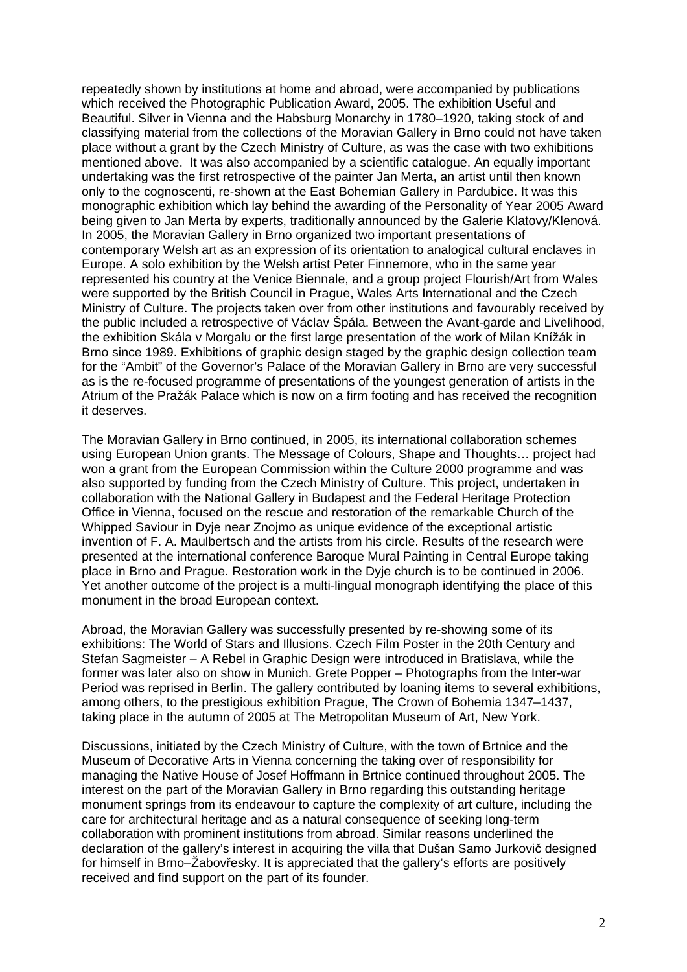repeatedly shown by institutions at home and abroad, were accompanied by publications which received the Photographic Publication Award, 2005. The exhibition Useful and Beautiful. Silver in Vienna and the Habsburg Monarchy in 1780–1920, taking stock of and classifying material from the collections of the Moravian Gallery in Brno could not have taken place without a grant by the Czech Ministry of Culture, as was the case with two exhibitions mentioned above. It was also accompanied by a scientific catalogue. An equally important undertaking was the first retrospective of the painter Jan Merta, an artist until then known only to the cognoscenti, re-shown at the East Bohemian Gallery in Pardubice. It was this monographic exhibition which lay behind the awarding of the Personality of Year 2005 Award being given to Jan Merta by experts, traditionally announced by the Galerie Klatovy/Klenová. In 2005, the Moravian Gallery in Brno organized two important presentations of contemporary Welsh art as an expression of its orientation to analogical cultural enclaves in Europe. A solo exhibition by the Welsh artist Peter Finnemore, who in the same year represented his country at the Venice Biennale, and a group project Flourish/Art from Wales were supported by the British Council in Prague, Wales Arts International and the Czech Ministry of Culture. The projects taken over from other institutions and favourably received by the public included a retrospective of Václav Špála. Between the Avant-garde and Livelihood, the exhibition Skála v Morgalu or the first large presentation of the work of Milan Knížák in Brno since 1989. Exhibitions of graphic design staged by the graphic design collection team for the "Ambit" of the Governor's Palace of the Moravian Gallery in Brno are very successful as is the re-focused programme of presentations of the youngest generation of artists in the Atrium of the Pražák Palace which is now on a firm footing and has received the recognition it deserves.

The Moravian Gallery in Brno continued, in 2005, its international collaboration schemes using European Union grants. The Message of Colours, Shape and Thoughts… project had won a grant from the European Commission within the Culture 2000 programme and was also supported by funding from the Czech Ministry of Culture. This project, undertaken in collaboration with the National Gallery in Budapest and the Federal Heritage Protection Office in Vienna, focused on the rescue and restoration of the remarkable Church of the Whipped Saviour in Dyje near Znojmo as unique evidence of the exceptional artistic invention of F. A. Maulbertsch and the artists from his circle. Results of the research were presented at the international conference Baroque Mural Painting in Central Europe taking place in Brno and Prague. Restoration work in the Dyje church is to be continued in 2006. Yet another outcome of the project is a multi-lingual monograph identifying the place of this monument in the broad European context.

Abroad, the Moravian Gallery was successfully presented by re-showing some of its exhibitions: The World of Stars and Illusions. Czech Film Poster in the 20th Century and Stefan Sagmeister – A Rebel in Graphic Design were introduced in Bratislava, while the former was later also on show in Munich. Grete Popper – Photographs from the Inter-war Period was reprised in Berlin. The gallery contributed by loaning items to several exhibitions, among others, to the prestigious exhibition Prague, The Crown of Bohemia 1347–1437, taking place in the autumn of 2005 at The Metropolitan Museum of Art, New York.

Discussions, initiated by the Czech Ministry of Culture, with the town of Brtnice and the Museum of Decorative Arts in Vienna concerning the taking over of responsibility for managing the Native House of Josef Hoffmann in Brtnice continued throughout 2005. The interest on the part of the Moravian Gallery in Brno regarding this outstanding heritage monument springs from its endeavour to capture the complexity of art culture, including the care for architectural heritage and as a natural consequence of seeking long-term collaboration with prominent institutions from abroad. Similar reasons underlined the declaration of the gallery's interest in acquiring the villa that Dušan Samo Jurkovič designed for himself in Brno–Žabovřesky. It is appreciated that the gallery's efforts are positively received and find support on the part of its founder.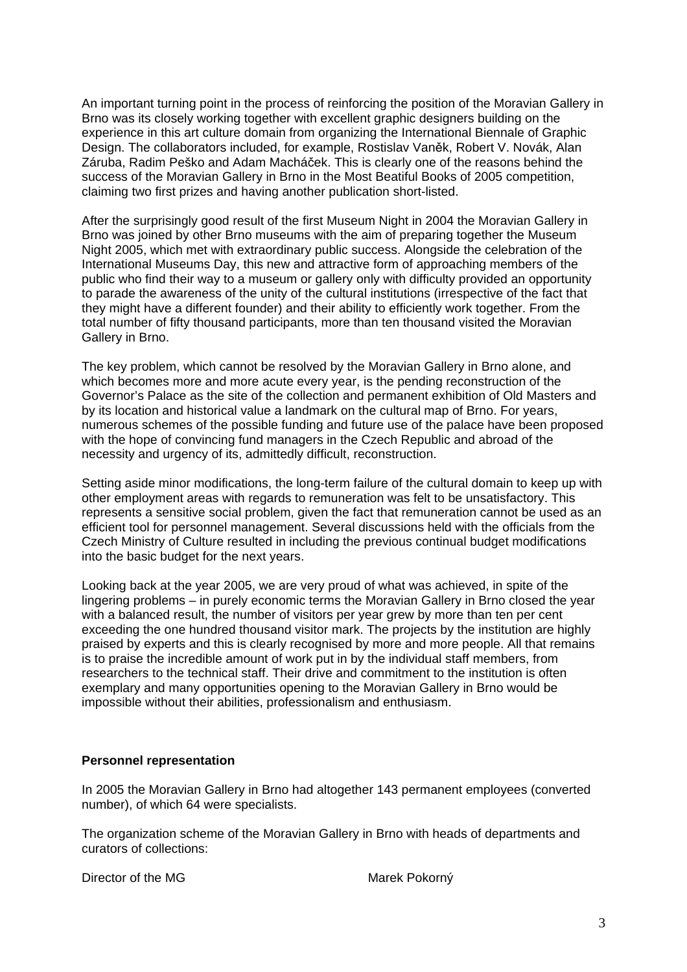An important turning point in the process of reinforcing the position of the Moravian Gallery in Brno was its closely working together with excellent graphic designers building on the experience in this art culture domain from organizing the International Biennale of Graphic Design. The collaborators included, for example, Rostislav Vaněk, Robert V. Novák, Alan Záruba, Radim Peško and Adam Macháček. This is clearly one of the reasons behind the success of the Moravian Gallery in Brno in the Most Beatiful Books of 2005 competition, claiming two first prizes and having another publication short-listed.

After the surprisingly good result of the first Museum Night in 2004 the Moravian Gallery in Brno was joined by other Brno museums with the aim of preparing together the Museum Night 2005, which met with extraordinary public success. Alongside the celebration of the International Museums Day, this new and attractive form of approaching members of the public who find their way to a museum or gallery only with difficulty provided an opportunity to parade the awareness of the unity of the cultural institutions (irrespective of the fact that they might have a different founder) and their ability to efficiently work together. From the total number of fifty thousand participants, more than ten thousand visited the Moravian Gallery in Brno.

The key problem, which cannot be resolved by the Moravian Gallery in Brno alone, and which becomes more and more acute every year, is the pending reconstruction of the Governor's Palace as the site of the collection and permanent exhibition of Old Masters and by its location and historical value a landmark on the cultural map of Brno. For years, numerous schemes of the possible funding and future use of the palace have been proposed with the hope of convincing fund managers in the Czech Republic and abroad of the necessity and urgency of its, admittedly difficult, reconstruction.

Setting aside minor modifications, the long-term failure of the cultural domain to keep up with other employment areas with regards to remuneration was felt to be unsatisfactory. This represents a sensitive social problem, given the fact that remuneration cannot be used as an efficient tool for personnel management. Several discussions held with the officials from the Czech Ministry of Culture resulted in including the previous continual budget modifications into the basic budget for the next years.

Looking back at the year 2005, we are very proud of what was achieved, in spite of the lingering problems – in purely economic terms the Moravian Gallery in Brno closed the year with a balanced result, the number of visitors per year grew by more than ten per cent exceeding the one hundred thousand visitor mark. The projects by the institution are highly praised by experts and this is clearly recognised by more and more people. All that remains is to praise the incredible amount of work put in by the individual staff members, from researchers to the technical staff. Their drive and commitment to the institution is often exemplary and many opportunities opening to the Moravian Gallery in Brno would be impossible without their abilities, professionalism and enthusiasm.

# **Personnel representation**

In 2005 the Moravian Gallery in Brno had altogether 143 permanent employees (converted number), of which 64 were specialists.

The organization scheme of the Moravian Gallery in Brno with heads of departments and curators of collections:

Director of the MG Marek Pokorný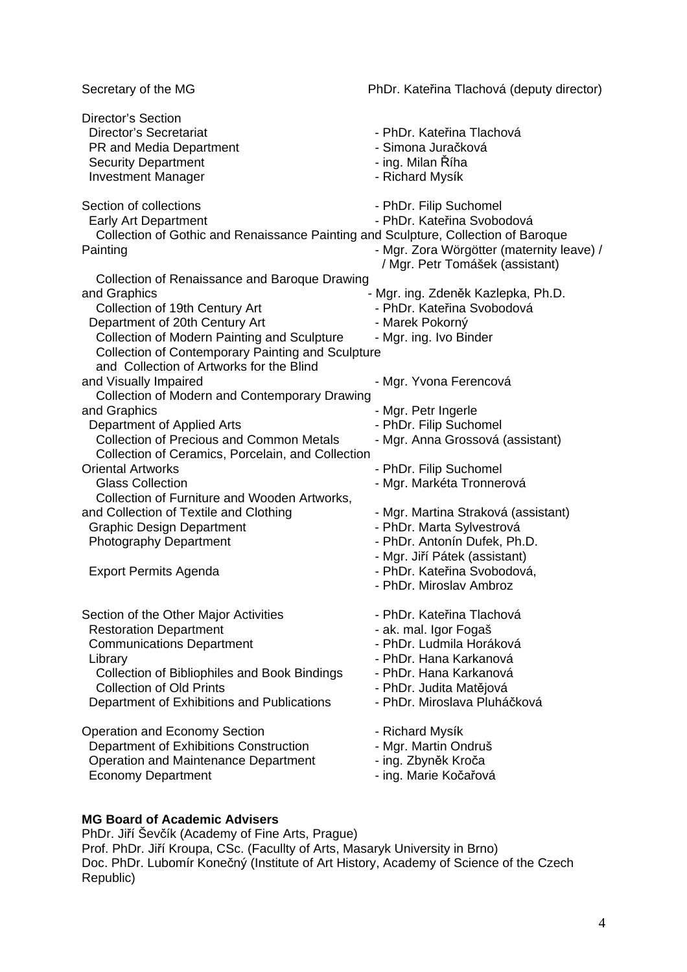Secretary of the MG **PhDr.** Kateřina Tlachová (deputy director) Director's Section Director's Secretariat - PhDr. Kateřina Tlachová PR and Media Department - Simona Juračková Security Department - ing. Milan Říha Investment Manager **Access 1986** - Richard Mysík Section of collections - PhDr. Filip Suchomel Early Art Department - PhDr. Kateřina Svobodová Collection of Gothic and Renaissance Painting and Sculpture, Collection of Baroque Painting **- Mgr. Zora Wörgötter (maternity leave)** / / Mgr. Petr Tomášek (assistant) Collection of Renaissance and Baroque Drawing and Graphics - Mar. ing. Zdeněk Kazlepka, Ph.D. Collection of 19th Century Art - PhDr. Kateřina Svobodová Department of 20th Century Art - Marek Pokorný Collection of Modern Painting and Sculpture - Mgr. ing. Ivo Binder Collection of Contemporary Painting and Sculpture and Collection of Artworks for the Blind and Visually Impaired **Agricus Community Community** - Mgr. Yvona Ferencová Collection of Modern and Contemporary Drawing and Graphics **- Markov** - Markov Petr Ingerle Department of Applied Arts - PhDr. Filip Suchomel Collection of Precious and Common Metals - Mgr. Anna Grossová (assistant) Collection of Ceramics, Porcelain, and Collection Oriental Artworks - PhDr. Filip Suchomel Glass Collection **Collection** - Mgr. Markéta Tronnerová Collection of Furniture and Wooden Artworks, and Collection of Textile and Clothing<br>
Graphic Design Department<br>
- PhDr. Marta Sylvestrová Graphic Design Department Photography Department - PhDr. Antonín Dufek, Ph.D. - Mgr. Jiří Pátek (assistant) Export Permits Agenda - PhDr. Kateřina Svobodová, - PhDr. Miroslav Ambroz Section of the Other Major Activities - PhDr. Kateřina Tlachová Restoration Department<br>Communications Department<br>Communications Department<br>Communications Department Communications Department Library **Europe Access 1988** - PhDr. Hana Karkanová Collection of Bibliophiles and Book Bindings - PhDr. Hana Karkanová Collection of Old Prints - PhDr. Judita Matějová Department of Exhibitions and Publications - PhDr. Miroslava Pluháčková Operation and Economy Section - Richard Mysík Department of Exhibitions Construction - Mar. Martin Ondruš Operation and Maintenance Department - ing. Zbyněk Kroča<br>Economy Department - ing. Marie Kočařová Economy Department

# **MG Board of Academic Advisers**

PhDr. Jiří Ševčík (Academy of Fine Arts, Prague) Prof. PhDr. Jiří Kroupa, CSc. (Facullty of Arts, Masaryk University in Brno) Doc. PhDr. Lubomír Konečný (Institute of Art History, Academy of Science of the Czech Republic)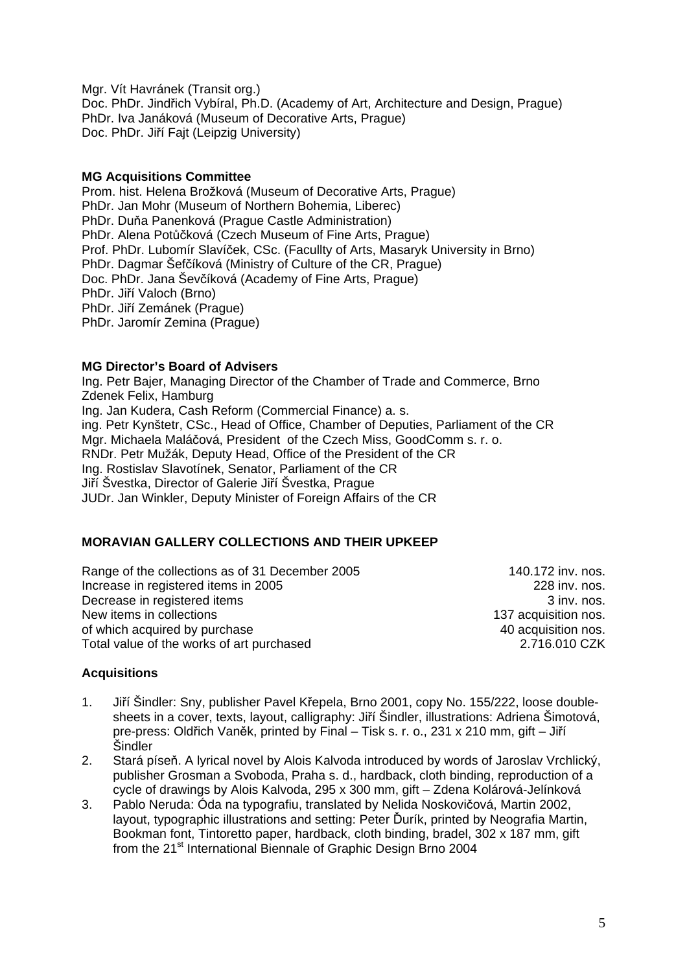Mgr. Vít Havránek (Transit org.) Doc. PhDr. Jindřich Vybíral, Ph.D. (Academy of Art, Architecture and Design, Prague) PhDr. Iva Janáková (Museum of Decorative Arts, Prague) Doc. PhDr. Jiří Fajt (Leipzig University)

# **MG Acquisitions Committee**

Prom. hist. Helena Brožková (Museum of Decorative Arts, Prague) PhDr. Jan Mohr (Museum of Northern Bohemia, Liberec) PhDr. Duňa Panenková (Prague Castle Administration) PhDr. Alena Potůčková (Czech Museum of Fine Arts, Prague) Prof. PhDr. Lubomír Slavíček, CSc. (Facullty of Arts, Masaryk University in Brno) PhDr. Dagmar Šefčíková (Ministry of Culture of the CR, Prague) Doc. PhDr. Jana Ševčíková (Academy of Fine Arts, Prague) PhDr. Jiří Valoch (Brno) PhDr. Jiří Zemánek (Prague) PhDr. Jaromír Zemina (Prague)

# **MG Director's Board of Advisers**

Ing. Petr Bajer, Managing Director of the Chamber of Trade and Commerce, Brno Zdenek Felix, Hamburg Ing. Jan Kudera, Cash Reform (Commercial Finance) a. s. ing. Petr Kynštetr, CSc., Head of Office, Chamber of Deputies, Parliament of the CR Mgr. Michaela Maláčová, President of the Czech Miss, GoodComm s. r. o. RNDr. Petr Mužák, Deputy Head, Office of the President of the CR Ing. Rostislav Slavotínek, Senator, Parliament of the CR Jiří Švestka, Director of Galerie Jiří Švestka, Prague JUDr. Jan Winkler, Deputy Minister of Foreign Affairs of the CR

# **MORAVIAN GALLERY COLLECTIONS AND THEIR UPKEEP**

Range of the collections as of 31 December 2005 140.172 inv. nos. Increase in registered items in 2005 228 inv. nos. Decrease in registered items 3 inv. nos. New items in collections **137** acquisition nos. of which acquired by purchase  $\overline{a}$  and  $\overline{a}$  acquisition nos. Total value of the works of art purchased 2.716.010 CZK

# **Acquisitions**

- 1. Jiří Šindler: Sny, publisher Pavel Křepela, Brno 2001, copy No. 155/222, loose doublesheets in a cover, texts, layout, calligraphy: Jiří Šindler, illustrations: Adriena Šimotová, pre-press: Oldřich Vaněk, printed by Final – Tisk s. r. o., 231 x 210 mm, gift – Jiří Šindler
- 2. Stará píseň. A lyrical novel by Alois Kalvoda introduced by words of Jaroslav Vrchlický, publisher Grosman a Svoboda, Praha s. d., hardback, cloth binding, reproduction of a cycle of drawings by Alois Kalvoda, 295 x 300 mm, gift – Zdena Kolárová-Jelínková
- 3. Pablo Neruda: Óda na typografiu, translated by Nelida Noskovičová, Martin 2002, layout, typographic illustrations and setting: Peter Ďurík, printed by Neografia Martin, Bookman font, Tintoretto paper, hardback, cloth binding, bradel, 302 x 187 mm, gift from the 21<sup>st</sup> International Biennale of Graphic Design Brno 2004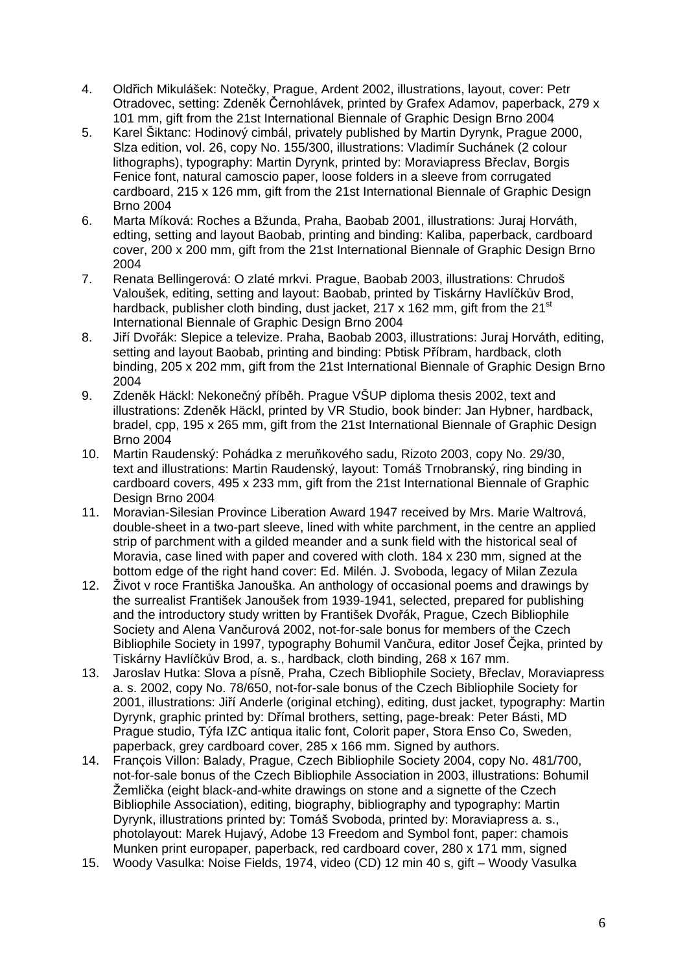- 4. Oldřich Mikulášek: Notečky, Prague, Ardent 2002, illustrations, layout, cover: Petr Otradovec, setting: Zdeněk Černohlávek, printed by Grafex Adamov, paperback, 279 x 101 mm, gift from the 21st International Biennale of Graphic Design Brno 2004
- 5. Karel Šiktanc: Hodinový cimbál, privately published by Martin Dyrynk, Prague 2000, Slza edition, vol. 26, copy No. 155/300, illustrations: Vladimír Suchánek (2 colour lithographs), typography: Martin Dyrynk, printed by: Moraviapress Břeclav, Borgis Fenice font, natural camoscio paper, loose folders in a sleeve from corrugated cardboard, 215 x 126 mm, gift from the 21st International Biennale of Graphic Design Brno 2004
- 6. Marta Míková: Roches a Bžunda, Praha, Baobab 2001, illustrations: Juraj Horváth, edting, setting and layout Baobab, printing and binding: Kaliba, paperback, cardboard cover, 200 x 200 mm, gift from the 21st International Biennale of Graphic Design Brno 2004
- 7. Renata Bellingerová: O zlaté mrkvi. Prague, Baobab 2003, illustrations: Chrudoš Valoušek, editing, setting and layout: Baobab, printed by Tiskárny Havlíčkův Brod, hardback, publisher cloth binding, dust jacket, 217 x 162 mm, gift from the 21<sup>st</sup> International Biennale of Graphic Design Brno 2004
- 8. Jiří Dvořák: Slepice a televize. Praha, Baobab 2003, illustrations: Juraj Horváth, editing, setting and layout Baobab, printing and binding: Pbtisk Příbram, hardback, cloth binding, 205 x 202 mm, gift from the 21st International Biennale of Graphic Design Brno 2004
- 9. Zdeněk Häckl: Nekonečný příběh. Prague VŠUP diploma thesis 2002, text and illustrations: Zdeněk Häckl, printed by VR Studio, book binder: Jan Hybner, hardback, bradel, cpp, 195 x 265 mm, gift from the 21st International Biennale of Graphic Design Brno 2004
- 10. Martin Raudenský: Pohádka z meruňkového sadu, Rizoto 2003, copy No. 29/30, text and illustrations: Martin Raudenský, layout: Tomáš Trnobranský, ring binding in cardboard covers, 495 x 233 mm, gift from the 21st International Biennale of Graphic Design Brno 2004
- 11. Moravian-Silesian Province Liberation Award 1947 received by Mrs. Marie Waltrová, double-sheet in a two-part sleeve, lined with white parchment, in the centre an applied strip of parchment with a gilded meander and a sunk field with the historical seal of Moravia, case lined with paper and covered with cloth. 184 x 230 mm, signed at the bottom edge of the right hand cover: Ed. Milén. J. Svoboda, legacy of Milan Zezula
- 12. Život v roce Františka Janouška. An anthology of occasional poems and drawings by the surrealist František Janoušek from 1939-1941, selected, prepared for publishing and the introductory study written by František Dvořák, Prague, Czech Bibliophile Society and Alena Vančurová 2002, not-for-sale bonus for members of the Czech Bibliophile Society in 1997, typography Bohumil Vančura, editor Josef Čejka, printed by Tiskárny Havlíčkův Brod, a. s., hardback, cloth binding, 268 x 167 mm.
- 13. Jaroslav Hutka: Slova a písně, Praha, Czech Bibliophile Society, Břeclav, Moraviapress a. s. 2002, copy No. 78/650, not-for-sale bonus of the Czech Bibliophile Society for 2001, illustrations: Jiří Anderle (original etching), editing, dust jacket, typography: Martin Dyrynk, graphic printed by: Dřímal brothers, setting, page-break: Peter Básti, MD Prague studio, Týfa IZC antiqua italic font, Colorit paper, Stora Enso Co, Sweden, paperback, grey cardboard cover, 285 x 166 mm. Signed by authors.
- 14. François Villon: Balady, Prague, Czech Bibliophile Society 2004, copy No. 481/700, not-for-sale bonus of the Czech Bibliophile Association in 2003, illustrations: Bohumil Žemlička (eight black-and-white drawings on stone and a signette of the Czech Bibliophile Association), editing, biography, bibliography and typography: Martin Dyrynk, illustrations printed by: Tomáš Svoboda, printed by: Moraviapress a. s., photolayout: Marek Hujavý, Adobe 13 Freedom and Symbol font, paper: chamois Munken print europaper, paperback, red cardboard cover, 280 x 171 mm, signed
- 15. Woody Vasulka: Noise Fields, 1974, video (CD) 12 min 40 s, gift Woody Vasulka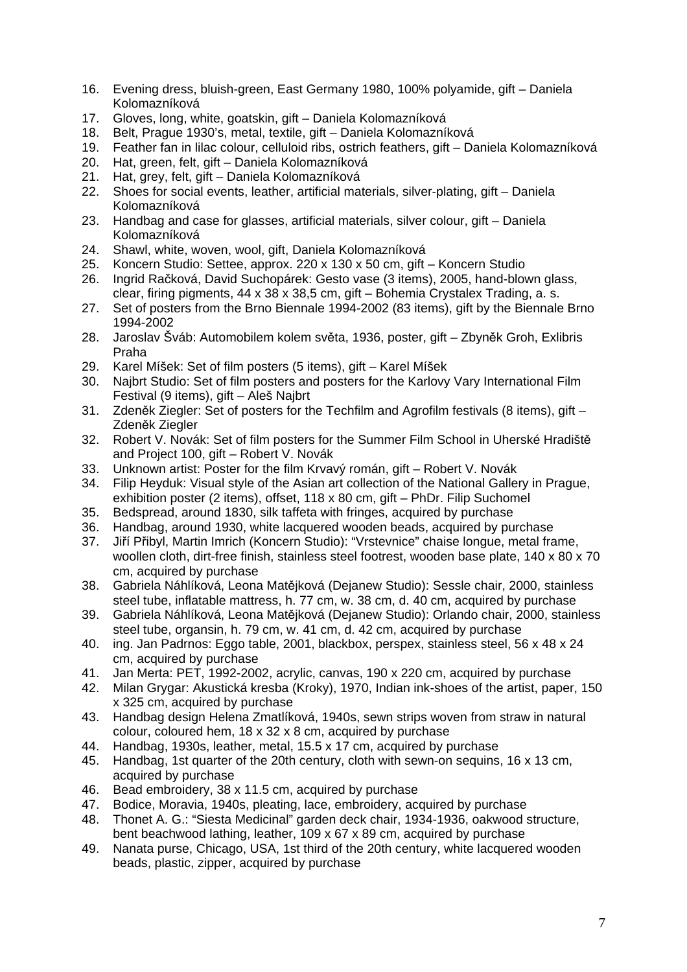- 16. Evening dress, bluish-green, East Germany 1980, 100% polyamide, gift Daniela Kolomazníková
- 17. Gloves, long, white, goatskin, gift Daniela Kolomazníková
- 18. Belt, Prague 1930's, metal, textile, gift Daniela Kolomazníková
- 19. Feather fan in lilac colour, celluloid ribs, ostrich feathers, gift Daniela Kolomazníková
- 20. Hat, green, felt, gift Daniela Kolomazníková
- 21. Hat, grey, felt, gift Daniela Kolomazníková
- 22. Shoes for social events, leather, artificial materials, silver-plating, gift Daniela Kolomazníková
- 23. Handbag and case for glasses, artificial materials, silver colour, gift Daniela Kolomazníková
- 24. Shawl, white, woven, wool, gift, Daniela Kolomazníková
- 25. Koncern Studio: Settee, approx. 220 x 130 x 50 cm, gift Koncern Studio
- 26. Ingrid Račková, David Suchopárek: Gesto vase (3 items), 2005, hand-blown glass, clear, firing pigments, 44 x 38 x 38,5 cm, gift – Bohemia Crystalex Trading, a. s.
- 27. Set of posters from the Brno Biennale 1994-2002 (83 items), gift by the Biennale Brno 1994-2002
- 28. Jaroslav Šváb: Automobilem kolem světa, 1936, poster, gift Zbyněk Groh, Exlibris Praha
- 29. Karel Míšek: Set of film posters (5 items), gift Karel Míšek
- 30. Najbrt Studio: Set of film posters and posters for the Karlovy Vary International Film Festival (9 items), gift – Aleš Najbrt
- 31. Zdeněk Ziegler: Set of posters for the Techfilm and Agrofilm festivals (8 items), gift Zdeněk Ziegler
- 32. Robert V. Novák: Set of film posters for the Summer Film School in Uherské Hradiště and Project 100, gift – Robert V. Novák
- 33. Unknown artist: Poster for the film Krvavý román, gift Robert V. Novák
- 34. Filip Heyduk: Visual style of the Asian art collection of the National Gallery in Prague, exhibition poster (2 items), offset, 118 x 80 cm, gift – PhDr. Filip Suchomel
- 35. Bedspread, around 1830, silk taffeta with fringes, acquired by purchase
- 36. Handbag, around 1930, white lacquered wooden beads, acquired by purchase
- 37. Jiří Přibyl, Martin Imrich (Koncern Studio): "Vrstevnice" chaise longue, metal frame, woollen cloth, dirt-free finish, stainless steel footrest, wooden base plate, 140 x 80 x 70 cm, acquired by purchase
- 38. Gabriela Náhlíková, Leona Matějková (Dejanew Studio): Sessle chair, 2000, stainless steel tube, inflatable mattress, h. 77 cm, w. 38 cm, d. 40 cm, acquired by purchase
- 39. Gabriela Náhlíková, Leona Matějková (Dejanew Studio): Orlando chair, 2000, stainless steel tube, organsin, h. 79 cm, w. 41 cm, d. 42 cm, acquired by purchase
- 40. ing. Jan Padrnos: Eggo table, 2001, blackbox, perspex, stainless steel, 56 x 48 x 24 cm, acquired by purchase
- 41. Jan Merta: PET, 1992-2002, acrylic, canvas, 190 x 220 cm, acquired by purchase
- 42. Milan Grygar: Akustická kresba (Kroky), 1970, Indian ink-shoes of the artist, paper, 150 x 325 cm, acquired by purchase
- 43. Handbag design Helena Zmatlíková, 1940s, sewn strips woven from straw in natural colour, coloured hem, 18 x 32 x 8 cm, acquired by purchase
- 44. Handbag, 1930s, leather, metal, 15.5 x 17 cm, acquired by purchase
- 45. Handbag, 1st quarter of the 20th century, cloth with sewn-on sequins, 16 x 13 cm, acquired by purchase
- 46. Bead embroidery, 38 x 11.5 cm, acquired by purchase
- 47. Bodice, Moravia, 1940s, pleating, lace, embroidery, acquired by purchase
- 48. Thonet A. G.: "Siesta Medicinal" garden deck chair, 1934-1936, oakwood structure, bent beachwood lathing, leather, 109 x 67 x 89 cm, acquired by purchase
- 49. Nanata purse, Chicago, USA, 1st third of the 20th century, white lacquered wooden beads, plastic, zipper, acquired by purchase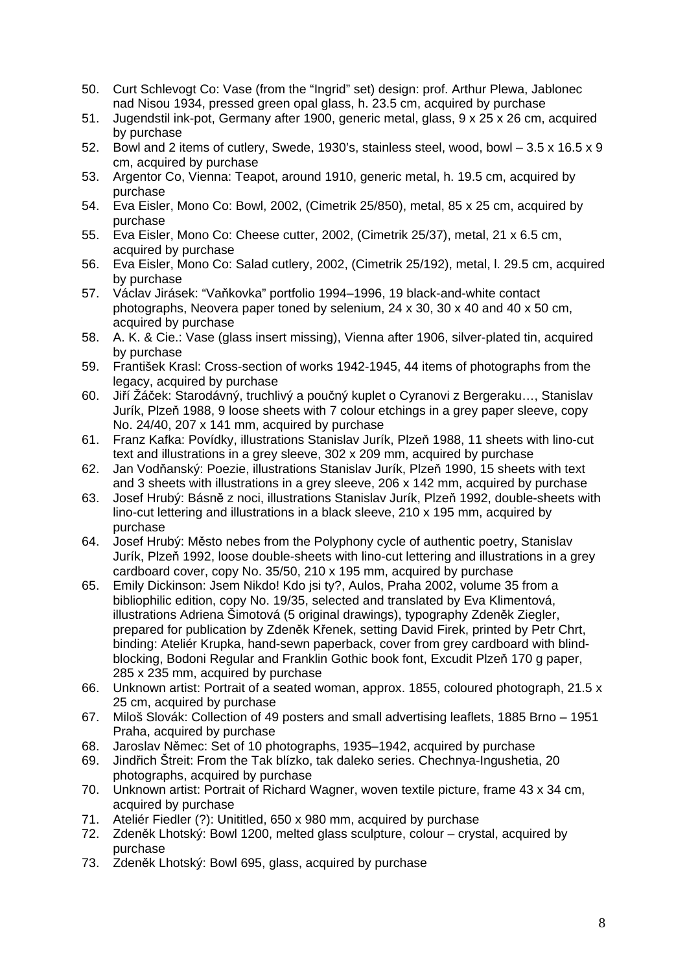- 50. Curt Schlevogt Co: Vase (from the "Ingrid" set) design: prof. Arthur Plewa, Jablonec nad Nisou 1934, pressed green opal glass, h. 23.5 cm, acquired by purchase
- 51. Jugendstil ink-pot, Germany after 1900, generic metal, glass, 9 x 25 x 26 cm, acquired by purchase
- 52. Bowl and 2 items of cutlery, Swede, 1930's, stainless steel, wood, bowl 3.5 x 16.5 x 9 cm, acquired by purchase
- 53. Argentor Co, Vienna: Teapot, around 1910, generic metal, h. 19.5 cm, acquired by purchase
- 54. Eva Eisler, Mono Co: Bowl, 2002, (Cimetrik 25/850), metal, 85 x 25 cm, acquired by purchase
- 55. Eva Eisler, Mono Co: Cheese cutter, 2002, (Cimetrik 25/37), metal, 21 x 6.5 cm, acquired by purchase
- 56. Eva Eisler, Mono Co: Salad cutlery, 2002, (Cimetrik 25/192), metal, l. 29.5 cm, acquired by purchase
- 57. Václav Jirásek: "Vaňkovka" portfolio 1994–1996, 19 black-and-white contact photographs, Neovera paper toned by selenium, 24 x 30, 30 x 40 and 40 x 50 cm, acquired by purchase
- 58. A. K. & Cie.: Vase (glass insert missing), Vienna after 1906, silver-plated tin, acquired by purchase
- 59. František Krasl: Cross-section of works 1942-1945, 44 items of photographs from the legacy, acquired by purchase
- 60. Jiří Žáček: Starodávný, truchlivý a poučný kuplet o Cyranovi z Bergeraku…, Stanislav Jurík, Plzeň 1988, 9 loose sheets with 7 colour etchings in a grey paper sleeve, copy No. 24/40, 207 x 141 mm, acquired by purchase
- 61. Franz Kafka: Povídky, illustrations Stanislav Jurík, Plzeň 1988, 11 sheets with lino-cut text and illustrations in a grey sleeve, 302 x 209 mm, acquired by purchase
- 62. Jan Vodňanský: Poezie, illustrations Stanislav Jurík, Plzeň 1990, 15 sheets with text and 3 sheets with illustrations in a grey sleeve, 206 x 142 mm, acquired by purchase
- 63. Josef Hrubý: Básně z noci, illustrations Stanislav Jurík, Plzeň 1992, double-sheets with lino-cut lettering and illustrations in a black sleeve, 210 x 195 mm, acquired by purchase
- 64. Josef Hrubý: Město nebes from the Polyphony cycle of authentic poetry, Stanislav Jurík, Plzeň 1992, loose double-sheets with lino-cut lettering and illustrations in a grey cardboard cover, copy No. 35/50, 210 x 195 mm, acquired by purchase
- 65. Emily Dickinson: Jsem Nikdo! Kdo jsi ty?, Aulos, Praha 2002, volume 35 from a bibliophilic edition, copy No. 19/35, selected and translated by Eva Klimentová, illustrations Adriena Šimotová (5 original drawings), typography Zdeněk Ziegler, prepared for publication by Zdeněk Křenek, setting David Firek, printed by Petr Chrt, binding: Ateliér Krupka, hand-sewn paperback, cover from grey cardboard with blindblocking, Bodoni Regular and Franklin Gothic book font, Excudit Plzeň 170 g paper, 285 x 235 mm, acquired by purchase
- 66. Unknown artist: Portrait of a seated woman, approx. 1855, coloured photograph, 21.5 x 25 cm, acquired by purchase
- 67. Miloš Slovák: Collection of 49 posters and small advertising leaflets, 1885 Brno 1951 Praha, acquired by purchase
- 68. Jaroslav Němec: Set of 10 photographs, 1935–1942, acquired by purchase
- 69. Jindřich Štreit: From the Tak blízko, tak daleko series. Chechnya-Ingushetia, 20 photographs, acquired by purchase
- 70. Unknown artist: Portrait of Richard Wagner, woven textile picture, frame 43 x 34 cm, acquired by purchase
- 71. Ateliér Fiedler (?): Unititled, 650 x 980 mm, acquired by purchase
- 72. Zdeněk Lhotský: Bowl 1200, melted glass sculpture, colour crystal, acquired by purchase
- 73. Zdeněk Lhotský: Bowl 695, glass, acquired by purchase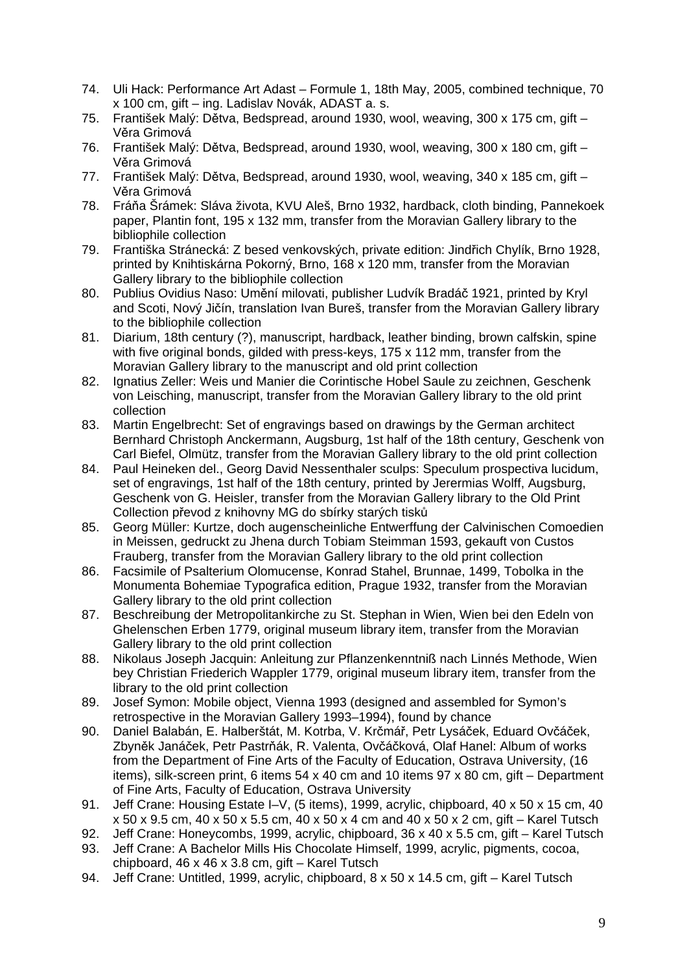- 74. Uli Hack: Performance Art Adast Formule 1, 18th May, 2005, combined technique, 70 x 100 cm, gift – ing. Ladislav Novák, ADAST a. s.
- 75. František Malý: Dětva, Bedspread, around 1930, wool, weaving, 300 x 175 cm, gift Věra Grimová
- 76. František Malý: Dětva, Bedspread, around 1930, wool, weaving, 300 x 180 cm, gift Věra Grimová
- 77. František Malý: Dětva, Bedspread, around 1930, wool, weaving, 340 x 185 cm, gift Věra Grimová
- 78. Fráňa Šrámek: Sláva života, KVU Aleš, Brno 1932, hardback, cloth binding, Pannekoek paper, Plantin font, 195 x 132 mm, transfer from the Moravian Gallery library to the bibliophile collection
- 79. Františka Stránecká: Z besed venkovských, private edition: Jindřich Chylík, Brno 1928, printed by Knihtiskárna Pokorný, Brno, 168 x 120 mm, transfer from the Moravian Gallery library to the bibliophile collection
- 80. Publius Ovidius Naso: Umění milovati, publisher Ludvík Bradáč 1921, printed by Kryl and Scoti, Nový Jičín, translation Ivan Bureš, transfer from the Moravian Gallery library to the bibliophile collection
- 81. Diarium, 18th century (?), manuscript, hardback, leather binding, brown calfskin, spine with five original bonds, gilded with press-keys, 175 x 112 mm, transfer from the Moravian Gallery library to the manuscript and old print collection
- 82. Ignatius Zeller: Weis und Manier die Corintische Hobel Saule zu zeichnen, Geschenk von Leisching, manuscript, transfer from the Moravian Gallery library to the old print collection
- 83. Martin Engelbrecht: Set of engravings based on drawings by the German architect Bernhard Christoph Anckermann, Augsburg, 1st half of the 18th century, Geschenk von Carl Biefel, Olmütz, transfer from the Moravian Gallery library to the old print collection
- 84. Paul Heineken del., Georg David Nessenthaler sculps: Speculum prospectiva lucidum, set of engravings, 1st half of the 18th century, printed by Jerermias Wolff, Augsburg, Geschenk von G. Heisler, transfer from the Moravian Gallery library to the Old Print Collection převod z knihovny MG do sbírky starých tisků
- 85. Georg Müller: Kurtze, doch augenscheinliche Entwerffung der Calvinischen Comoedien in Meissen, gedruckt zu Jhena durch Tobiam Steimman 1593, gekauft von Custos Frauberg, transfer from the Moravian Gallery library to the old print collection
- 86. Facsimile of Psalterium Olomucense, Konrad Stahel, Brunnae, 1499, Tobolka in the Monumenta Bohemiae Typografica edition, Prague 1932, transfer from the Moravian Gallery library to the old print collection
- 87. Beschreibung der Metropolitankirche zu St. Stephan in Wien, Wien bei den Edeln von Ghelenschen Erben 1779, original museum library item, transfer from the Moravian Gallery library to the old print collection
- 88. Nikolaus Joseph Jacquin: Anleitung zur Pflanzenkenntniß nach Linnés Methode, Wien bey Christian Friederich Wappler 1779, original museum library item, transfer from the library to the old print collection
- 89. Josef Symon: Mobile object, Vienna 1993 (designed and assembled for Symon's retrospective in the Moravian Gallery 1993–1994), found by chance
- 90. Daniel Balabán, E. Halberštát, M. Kotrba, V. Krčmář, Petr Lysáček, Eduard Ovčáček, Zbyněk Janáček, Petr Pastrňák, R. Valenta, Ovčáčková, Olaf Hanel: Album of works from the Department of Fine Arts of the Faculty of Education, Ostrava University, (16 items), silk-screen print, 6 items 54 x 40 cm and 10 items 97 x 80 cm, gift – Department of Fine Arts, Faculty of Education, Ostrava University
- 91. Jeff Crane: Housing Estate I–V, (5 items), 1999, acrylic, chipboard, 40 x 50 x 15 cm, 40 x 50 x 9.5 cm, 40 x 50 x 5.5 cm, 40 x 50 x 4 cm and 40 x 50 x 2 cm, gift – Karel Tutsch
- 92. Jeff Crane: Honeycombs, 1999, acrylic, chipboard, 36 x 40 x 5.5 cm, gift Karel Tutsch
- 93. Jeff Crane: A Bachelor Mills His Chocolate Himself, 1999, acrylic, pigments, cocoa, chipboard, 46 x 46 x 3.8 cm, gift – Karel Tutsch
- 94. Jeff Crane: Untitled, 1999, acrylic, chipboard, 8 x 50 x 14.5 cm, gift Karel Tutsch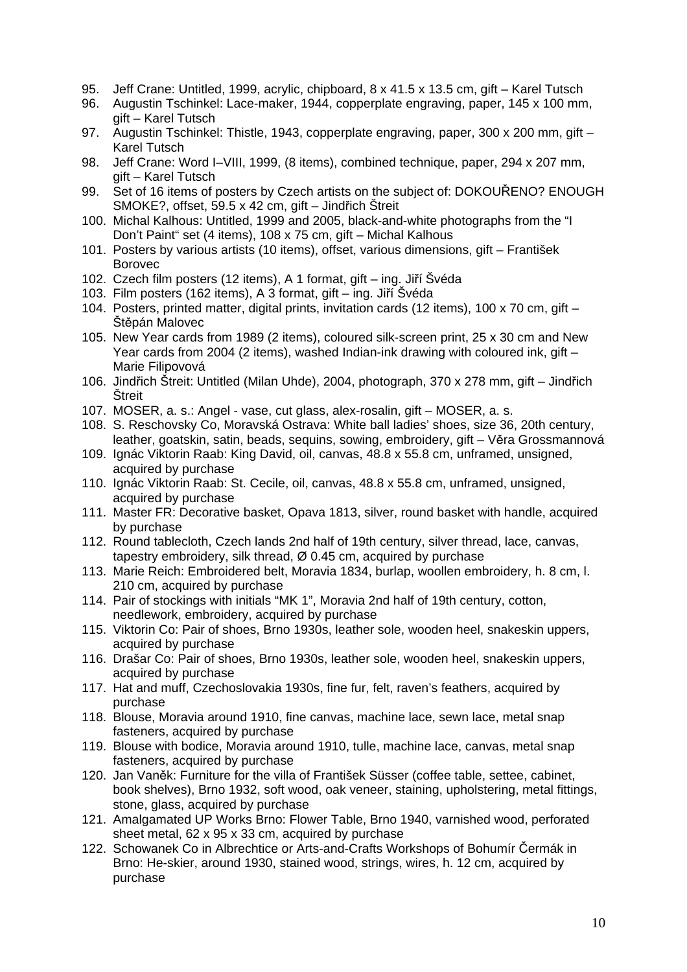- 95. Jeff Crane: Untitled, 1999, acrylic, chipboard, 8 x 41.5 x 13.5 cm, gift Karel Tutsch
- 96. Augustin Tschinkel: Lace-maker, 1944, copperplate engraving, paper, 145 x 100 mm, gift – Karel Tutsch
- 97. Augustin Tschinkel: Thistle, 1943, copperplate engraving, paper, 300 x 200 mm, gift Karel Tutsch
- 98. Jeff Crane: Word I–VIII, 1999, (8 items), combined technique, paper, 294 x 207 mm, gift – Karel Tutsch
- 99. Set of 16 items of posters by Czech artists on the subject of: DOKOUŘENO? ENOUGH SMOKE?, offset, 59.5 x 42 cm, gift – Jindřich Štreit
- 100. Michal Kalhous: Untitled, 1999 and 2005, black-and-white photographs from the "I Don't Paint" set (4 items), 108 x 75 cm, gift – Michal Kalhous
- 101. Posters by various artists (10 items), offset, various dimensions, gift František Borovec
- 102. Czech film posters (12 items), A 1 format, gift ing. Jiří Švéda
- 103. Film posters (162 items), A 3 format, gift ing. Jiří Švéda
- 104. Posters, printed matter, digital prints, invitation cards (12 items), 100 x 70 cm, gift Štěpán Malovec
- 105. New Year cards from 1989 (2 items), coloured silk-screen print, 25 x 30 cm and New Year cards from 2004 (2 items), washed Indian-ink drawing with coloured ink, gift – Marie Filipovová
- 106. Jindřich Štreit: Untitled (Milan Uhde), 2004, photograph, 370 x 278 mm, gift Jindřich **Štreit**
- 107. MOSER, a. s.: Angel vase, cut glass, alex-rosalin, gift MOSER, a. s.
- 108. S. Reschovsky Co, Moravská Ostrava: White ball ladies' shoes, size 36, 20th century, leather, goatskin, satin, beads, sequins, sowing, embroidery, gift – Věra Grossmannová
- 109. Ignác Viktorin Raab: King David, oil, canvas, 48.8 x 55.8 cm, unframed, unsigned, acquired by purchase
- 110. Ignác Viktorin Raab: St. Cecile, oil, canvas, 48.8 x 55.8 cm, unframed, unsigned, acquired by purchase
- 111. Master FR: Decorative basket, Opava 1813, silver, round basket with handle, acquired by purchase
- 112. Round tablecloth, Czech lands 2nd half of 19th century, silver thread, lace, canvas, tapestry embroidery, silk thread, Ø 0.45 cm, acquired by purchase
- 113. Marie Reich: Embroidered belt, Moravia 1834, burlap, woollen embroidery, h. 8 cm, l. 210 cm, acquired by purchase
- 114. Pair of stockings with initials "MK 1", Moravia 2nd half of 19th century, cotton, needlework, embroidery, acquired by purchase
- 115. Viktorin Co: Pair of shoes, Brno 1930s, leather sole, wooden heel, snakeskin uppers, acquired by purchase
- 116. Drašar Co: Pair of shoes, Brno 1930s, leather sole, wooden heel, snakeskin uppers, acquired by purchase
- 117. Hat and muff, Czechoslovakia 1930s, fine fur, felt, raven's feathers, acquired by purchase
- 118. Blouse, Moravia around 1910, fine canvas, machine lace, sewn lace, metal snap fasteners, acquired by purchase
- 119. Blouse with bodice, Moravia around 1910, tulle, machine lace, canvas, metal snap fasteners, acquired by purchase
- 120. Jan Vaněk: Furniture for the villa of František Süsser (coffee table, settee, cabinet, book shelves), Brno 1932, soft wood, oak veneer, staining, upholstering, metal fittings, stone, glass, acquired by purchase
- 121. Amalgamated UP Works Brno: Flower Table, Brno 1940, varnished wood, perforated sheet metal, 62 x 95 x 33 cm, acquired by purchase
- 122. Schowanek Co in Albrechtice or Arts-and-Crafts Workshops of Bohumír Čermák in Brno: He-skier, around 1930, stained wood, strings, wires, h. 12 cm, acquired by purchase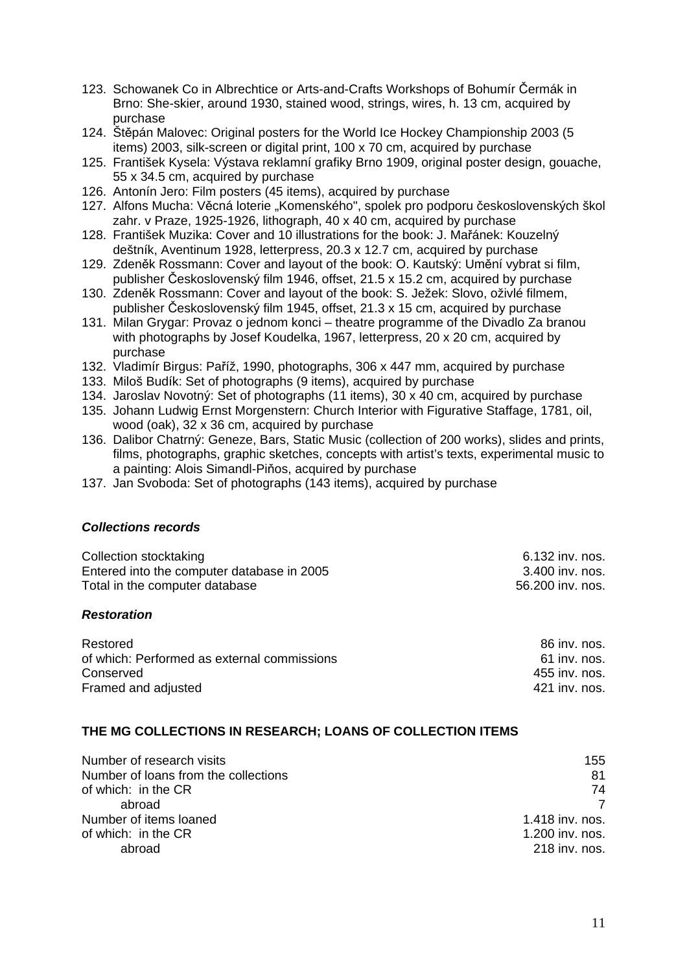- 123. Schowanek Co in Albrechtice or Arts-and-Crafts Workshops of Bohumír Čermák in Brno: She-skier, around 1930, stained wood, strings, wires, h. 13 cm, acquired by purchase
- 124. Štěpán Malovec: Original posters for the World Ice Hockey Championship 2003 (5 items) 2003, silk-screen or digital print, 100 x 70 cm, acquired by purchase
- 125. František Kysela: Výstava reklamní grafiky Brno 1909, original poster design, gouache, 55 x 34.5 cm, acquired by purchase
- 126. Antonín Jero: Film posters (45 items), acquired by purchase
- 127. Alfons Mucha: Věcná loterie "Komenského", spolek pro podporu československých škol zahr. v Praze, 1925-1926, lithograph, 40 x 40 cm, acquired by purchase
- 128. František Muzika: Cover and 10 illustrations for the book: J. Mařánek: Kouzelný deštník, Aventinum 1928, letterpress, 20.3 x 12.7 cm, acquired by purchase
- 129. Zdeněk Rossmann: Cover and layout of the book: O. Kautský: Umění vybrat si film, publisher Československý film 1946, offset, 21.5 x 15.2 cm, acquired by purchase
- 130. Zdeněk Rossmann: Cover and layout of the book: S. Ježek: Slovo, oživlé filmem, publisher Československý film 1945, offset, 21.3 x 15 cm, acquired by purchase
- 131. Milan Grygar: Provaz o jednom konci theatre programme of the Divadlo Za branou with photographs by Josef Koudelka, 1967, letterpress, 20 x 20 cm, acquired by purchase
- 132. Vladimír Birgus: Paříž, 1990, photographs, 306 x 447 mm, acquired by purchase
- 133. Miloš Budík: Set of photographs (9 items), acquired by purchase
- 134. Jaroslav Novotný: Set of photographs (11 items), 30 x 40 cm, acquired by purchase
- 135. Johann Ludwig Ernst Morgenstern: Church Interior with Figurative Staffage, 1781, oil, wood (oak), 32 x 36 cm, acquired by purchase
- 136. Dalibor Chatrný: Geneze, Bars, Static Music (collection of 200 works), slides and prints, films, photographs, graphic sketches, concepts with artist's texts, experimental music to a painting: Alois Simandl-Piňos, acquired by purchase
- 137. Jan Svoboda: Set of photographs (143 items), acquired by purchase

# *Collections records*

| Collection stocktaking                     | 6.132 inv. nos.  |
|--------------------------------------------|------------------|
| Entered into the computer database in 2005 | 3.400 inv. nos.  |
| Total in the computer database             | 56.200 inv. nos. |
|                                            |                  |

### *Restoration*

| Restored                                    | 86 inv. nos.  |
|---------------------------------------------|---------------|
| of which: Performed as external commissions | 61 inv. nos.  |
| Conserved                                   | 455 inv. nos. |
| Framed and adjusted                         | 421 inv. nos. |

# **THE MG COLLECTIONS IN RESEARCH; LOANS OF COLLECTION ITEMS**

| Number of research visits            | 155             |
|--------------------------------------|-----------------|
| Number of loans from the collections | 81              |
| of which: in the CR                  | 74              |
| abroad                               |                 |
| Number of items loaned               | 1.418 inv. nos. |
| of which: in the CR                  | 1.200 inv. nos. |
| abroad                               | $218$ inv. nos. |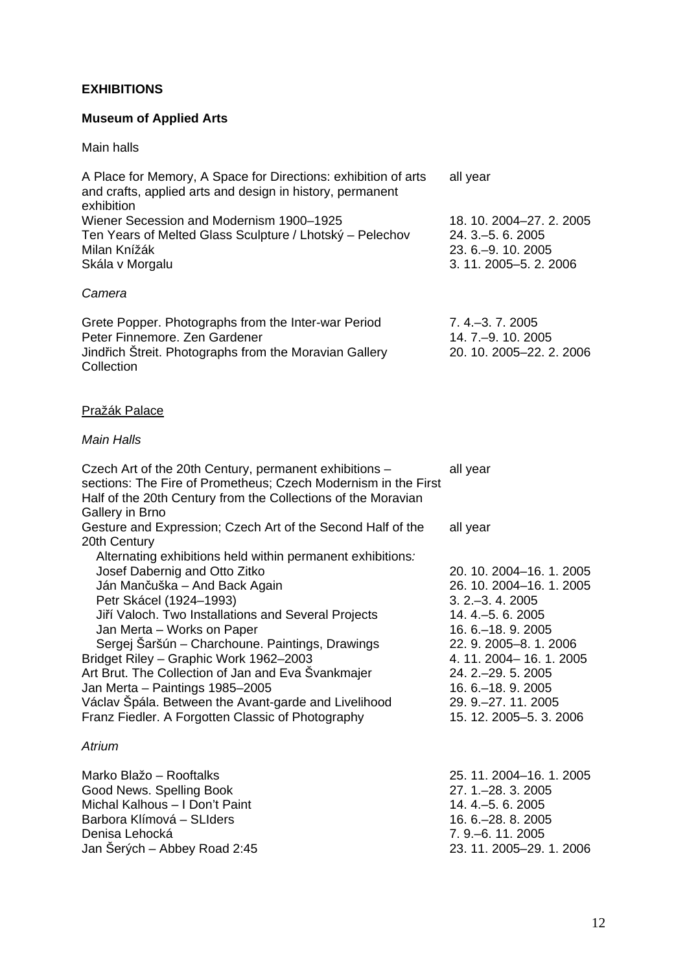# **EXHIBITIONS**

# **Museum of Applied Arts**

# Main halls

| A Place for Memory, A Space for Directions: exhibition of arts<br>and crafts, applied arts and design in history, permanent<br>exhibition                                                                                         | all year                                                                                                                                      |
|-----------------------------------------------------------------------------------------------------------------------------------------------------------------------------------------------------------------------------------|-----------------------------------------------------------------------------------------------------------------------------------------------|
| Wiener Secession and Modernism 1900-1925<br>Ten Years of Melted Glass Sculpture / Lhotský – Pelechov<br>Milan Knížák<br>Skála v Morgalu                                                                                           | 18. 10. 2004-27. 2. 2005<br>24. 3. - 5. 6. 2005<br>23. 6. - 9. 10. 2005<br>3. 11. 2005-5. 2. 2006                                             |
| Camera                                                                                                                                                                                                                            |                                                                                                                                               |
| Grete Popper. Photographs from the Inter-war Period<br>Peter Finnemore. Zen Gardener<br>Jindřich Štreit. Photographs from the Moravian Gallery<br>Collection                                                                      | $7.4 - 3.7.2005$<br>14.7 . - 9. 10. 2005<br>20. 10. 2005-22. 2. 2006                                                                          |
| <b>Pražák Palace</b>                                                                                                                                                                                                              |                                                                                                                                               |
| <b>Main Halls</b>                                                                                                                                                                                                                 |                                                                                                                                               |
| Czech Art of the 20th Century, permanent exhibitions -<br>sections: The Fire of Prometheus; Czech Modernism in the First<br>Half of the 20th Century from the Collections of the Moravian<br>Gallery in Brno                      | all year                                                                                                                                      |
| Gesture and Expression; Czech Art of the Second Half of the<br>20th Century<br>Alternating exhibitions held within permanent exhibitions:                                                                                         | all year                                                                                                                                      |
| Josef Dabernig and Otto Zitko<br>Ján Mančuška - And Back Again<br>Petr Skácel (1924–1993)<br>Jiří Valoch. Two Installations and Several Projects<br>Jan Merta - Works on Paper<br>Sergej Šaršún – Charchoune. Paintings, Drawings | 20. 10. 2004-16. 1. 2005<br>26. 10. 2004-16. 1. 2005<br>$3.2 - 3.4.2005$<br>14. 4. - 5. 6. 2005<br>16. 6. - 18. 9. 2005<br>22.9.2005-8.1.2006 |
| Bridget Riley - Graphic Work 1962-2003                                                                                                                                                                                            | 4. 11. 2004 - 16. 1. 2005                                                                                                                     |
| Art Brut. The Collection of Jan and Eva Svankmajer<br>Jan Merta - Paintings 1985-2005<br>Václav Špála. Between the Avant-garde and Livelihood<br>Franz Fiedler. A Forgotten Classic of Photography                                | 24. 2. - 29. 5. 2005<br>16.6 .- 18.9.2005<br>29. 9. - 27. 11. 2005<br>15. 12. 2005-5. 3. 2006                                                 |
| Atrium                                                                                                                                                                                                                            |                                                                                                                                               |
| Marko Blažo – Rooftalks<br>Good News. Spelling Book<br>Michal Kalhous - I Don't Paint<br>Barbora Klímová - SLIders                                                                                                                | 25. 11. 2004-16. 1. 2005<br>27. 1. - 28. 3. 2005<br>14. 4. - 5. 6. 2005<br>16. 6. - 28. 8. 2005                                               |

Barbora Klímová – SLIders<br>Denisa Lehocká

Jan Šerých – Abbey Road 2:45

7. 9.–6. 11. 2005<br>23. 11. 2005–29. 1. 2006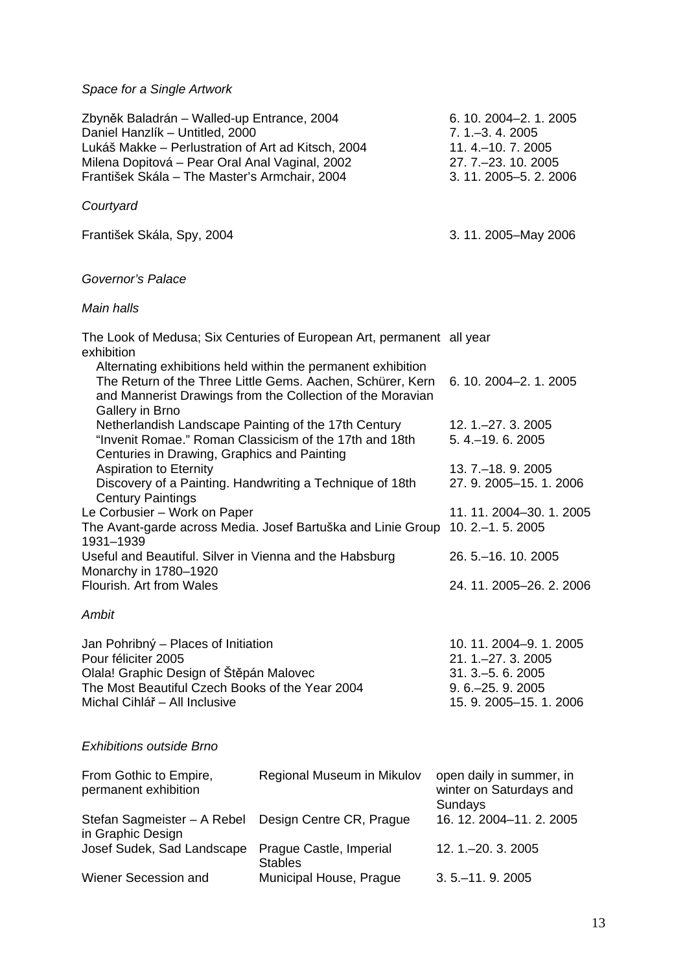# *Space for a Single Artwork*

Zbyněk Baladrán – Walled-up Entrance, 2004 6. 10. 2004–2. 1. 2005 Daniel Hanzlík – Untitled, 2000 7. 1.–3. 4. 2005 Lukáš Makke – Perlustration of Art ad Kitsch, 2004 11. 4.–10. 7. 2005 Milena Dopitová – Pear Oral Anal Vaginal, 2002 27. 7.–23. 10. 2005 František Skála – The Master's Armchair, 2004 3. 11. 2005–5. 2. 2006

### *Courtyard*

František Skála, Spy, 2004 3. 11. 2005–May 2006

# *Governor's Palace*

#### *Main halls*

| The Look of Medusa; Six Centuries of European Art, permanent all year<br>exhibition                                                                                                                         |                                             |
|-------------------------------------------------------------------------------------------------------------------------------------------------------------------------------------------------------------|---------------------------------------------|
| Alternating exhibitions held within the permanent exhibition<br>The Return of the Three Little Gems. Aachen, Schürer, Kern<br>and Mannerist Drawings from the Collection of the Moravian<br>Gallery in Brno | 6. 10. 2004-2. 1. 2005                      |
| Netherlandish Landscape Painting of the 17th Century<br>"Invenit Romae." Roman Classicism of the 17th and 18th<br>Centuries in Drawing, Graphics and Painting                                               | 12. 1. - 27. 3. 2005<br>5.4 .- 19.6.2005    |
| <b>Aspiration to Eternity</b><br>Discovery of a Painting. Handwriting a Technique of 18th<br><b>Century Paintings</b>                                                                                       | 13. 7. - 18. 9. 2005<br>27.9.2005-15.1.2006 |
| Le Corbusier - Work on Paper<br>The Avant-garde across Media. Josef Bartuška and Linie Group<br>1931-1939                                                                                                   | 11.11.2004-30.1.2005<br>$10.2 - 1.5.2005$   |
| Useful and Beautiful. Silver in Vienna and the Habsburg<br>Monarchy in 1780-1920                                                                                                                            | 26. 5. - 16. 10. 2005                       |
| Flourish. Art from Wales                                                                                                                                                                                    | 24. 11. 2005-26. 2. 2006                    |
| Ambit                                                                                                                                                                                                       |                                             |

Jan Pohribný – Places of Initiation 10. 11. 2004–9. 1. 2005 Pour féliciter 2005 21. 1.–27. 3. 2005 Olala! Graphic Design of Štěpán Malovec 31. 3.–5. 6. 2005 The Most Beautiful Czech Books of the Year 2004 9.6 -25.9.2005 Michal Cihlář – All Inclusive 15. 9. 2005–15. 1. 2006

#### *Exhibitions outside Brno*

| From Gothic to Empire,<br>permanent exhibition   | Regional Museum in Mikulov                | open daily in summer, in<br>winter on Saturdays and<br>Sundays |
|--------------------------------------------------|-------------------------------------------|----------------------------------------------------------------|
| Stefan Sagmeister - A Rebel<br>in Graphic Design | Design Centre CR, Prague                  | 16. 12. 2004-11. 2. 2005                                       |
| Josef Sudek, Sad Landscape                       | Prague Castle, Imperial<br><b>Stables</b> | $12.1 - 20.3.2005$                                             |
| Wiener Secession and                             | Municipal House, Prague                   | $3.5 - 11.9.2005$                                              |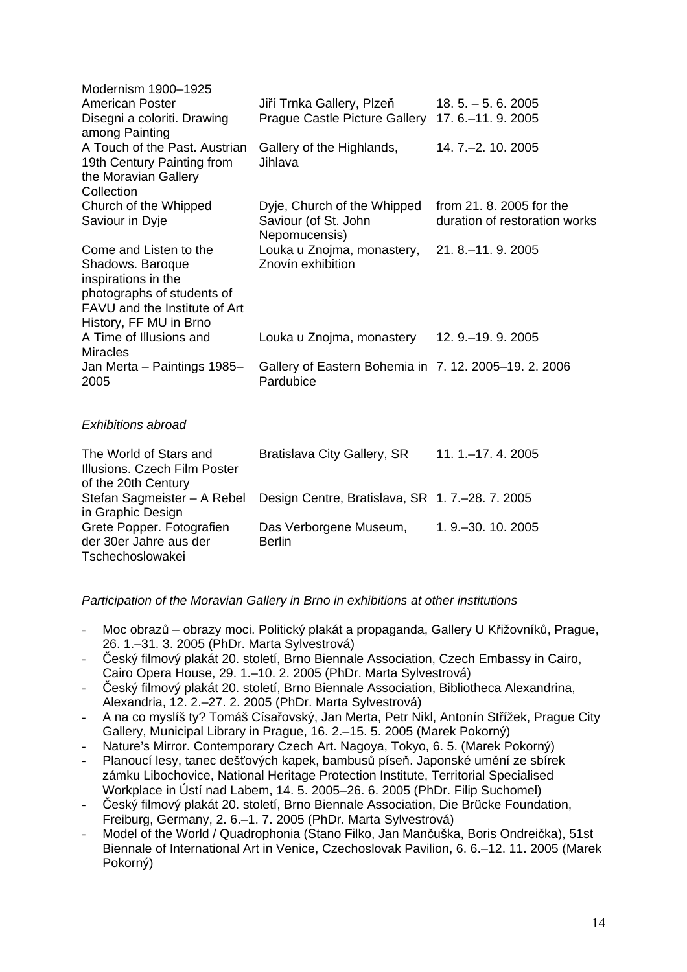| Modernism 1900-1925                                     |                                                   |                               |
|---------------------------------------------------------|---------------------------------------------------|-------------------------------|
| American Poster                                         | Jiří Trnka Gallery, Plzeň                         | $18.5 - 5.6.2005$             |
| Disegni a coloriti. Drawing                             | <b>Prague Castle Picture Gallery</b>              | 17.6. - 11.9.2005             |
| among Painting                                          |                                                   |                               |
| A Touch of the Past. Austrian                           | Gallery of the Highlands,                         | 14. 7. - 2. 10. 2005          |
| 19th Century Painting from                              | Jihlava                                           |                               |
| the Moravian Gallery<br>Collection                      |                                                   |                               |
| Church of the Whipped                                   | Dyje, Church of the Whipped                       | from 21, 8, 2005 for the      |
| Saviour in Dyje                                         | Saviour (of St. John                              | duration of restoration works |
|                                                         | Nepomucensis)                                     |                               |
| Come and Listen to the                                  | Louka u Znojma, monastery,                        | 21.8 .- 11.9.2005             |
| Shadows. Baroque                                        | Znovín exhibition                                 |                               |
| inspirations in the                                     |                                                   |                               |
| photographs of students of                              |                                                   |                               |
| FAVU and the Institute of Art<br>History, FF MU in Brno |                                                   |                               |
| A Time of Illusions and                                 | Louka u Znojma, monastery                         | 12. 9. - 19. 9. 2005          |
| <b>Miracles</b>                                         |                                                   |                               |
| Jan Merta - Paintings 1985-                             | Gallery of Eastern Bohemia in 7.12.2005-19.2.2006 |                               |
| 2005                                                    | Pardubice                                         |                               |
|                                                         |                                                   |                               |
| <b>Exhibitions abroad</b>                               |                                                   |                               |
|                                                         |                                                   |                               |
| The World of Stars and                                  | Bratislava City Gallery, SR                       | 11. 1. - 17. 4. 2005          |
| Illusions. Czech Film Poster                            |                                                   |                               |
| of the 20th Century                                     |                                                   |                               |
| Stefan Sagmeister - A Rebel<br>in Graphic Design        | Design Centre, Bratislava, SR 1.7 .-28.7.2005     |                               |
| Grete Popper. Fotografien                               | Das Verborgene Museum,                            | 1. 9. - 30. 10. 2005          |

# *Participation of the Moravian Gallery in Brno in exhibitions at other institutions*

**Berlin** 

der 30er Jahre aus der Tschechoslowakei

- Moc obrazů obrazy moci. Politický plakát a propaganda, Gallery U Křižovníků, Prague, 26. 1.–31. 3. 2005 (PhDr. Marta Sylvestrová)
- Český filmový plakát 20. století, Brno Biennale Association, Czech Embassy in Cairo, Cairo Opera House, 29. 1.–10. 2. 2005 (PhDr. Marta Sylvestrová)
- Český filmový plakát 20. století, Brno Biennale Association, Bibliotheca Alexandrina, Alexandria, 12. 2.–27. 2. 2005 (PhDr. Marta Sylvestrová)
- A na co myslíš ty? Tomáš Císařovský, Jan Merta, Petr Nikl, Antonín Střížek, Prague City Gallery, Municipal Library in Prague, 16. 2.–15. 5. 2005 (Marek Pokorný)
- Nature's Mirror. Contemporary Czech Art. Nagoya, Tokyo, 6. 5. (Marek Pokorný)
- Planoucí lesy, tanec dešťových kapek, bambusů píseň. Japonské umění ze sbírek zámku Libochovice, National Heritage Protection Institute, Territorial Specialised Workplace in Ústí nad Labem, 14. 5. 2005–26. 6. 2005 (PhDr. Filip Suchomel)
- Český filmový plakát 20. století, Brno Biennale Association, Die Brücke Foundation, Freiburg, Germany, 2. 6.–1. 7. 2005 (PhDr. Marta Sylvestrová)
- Model of the World / Quadrophonia (Stano Filko, Jan Mančuška, Boris Ondreička), 51st Biennale of International Art in Venice, Czechoslovak Pavilion, 6. 6.–12. 11. 2005 (Marek Pokorný)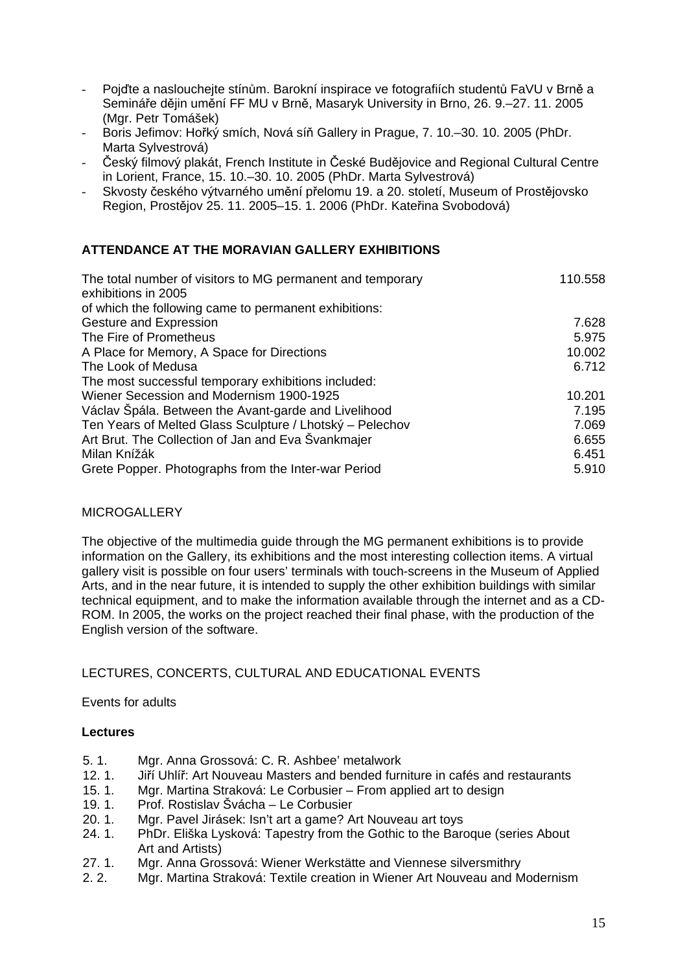- Pojďte a naslouchejte stínům. Barokní inspirace ve fotografiích studentů FaVU v Brně a Semináře dějin umění FF MU v Brně, Masaryk University in Brno, 26. 9.–27. 11. 2005 (Mgr. Petr Tomášek)
- Boris Jefimov: Hořký smích, Nová síň Gallery in Prague, 7. 10.–30. 10. 2005 (PhDr. Marta Sylvestrová)
- Český filmový plakát, French Institute in České Budějovice and Regional Cultural Centre in Lorient, France, 15. 10.–30. 10. 2005 (PhDr. Marta Sylvestrová)
- Skvosty českého výtvarného umění přelomu 19. a 20. století, Museum of Prostějovsko Region, Prostějov 25. 11. 2005–15. 1. 2006 (PhDr. Kateřina Svobodová)

# **ATTENDANCE AT THE MORAVIAN GALLERY EXHIBITIONS**

| The total number of visitors to MG permanent and temporary | 110.558 |
|------------------------------------------------------------|---------|
| exhibitions in 2005                                        |         |
| of which the following came to permanent exhibitions:      |         |
| Gesture and Expression                                     | 7.628   |
| The Fire of Prometheus                                     | 5.975   |
| A Place for Memory, A Space for Directions                 | 10.002  |
| The Look of Medusa                                         | 6.712   |
| The most successful temporary exhibitions included:        |         |
| Wiener Secession and Modernism 1900-1925                   | 10.201  |
| Václav Špála. Between the Avant-garde and Livelihood       | 7.195   |
| Ten Years of Melted Glass Sculpture / Lhotský – Pelechov   | 7.069   |
| Art Brut. The Collection of Jan and Eva Svankmajer         | 6.655   |
| Milan Knížák                                               | 6.451   |
| Grete Popper. Photographs from the Inter-war Period        | 5.910   |

# **MICROGALLERY**

The objective of the multimedia guide through the MG permanent exhibitions is to provide information on the Gallery, its exhibitions and the most interesting collection items. A virtual gallery visit is possible on four users' terminals with touch-screens in the Museum of Applied Arts, and in the near future, it is intended to supply the other exhibition buildings with similar technical equipment, and to make the information available through the internet and as a CD-ROM. In 2005, the works on the project reached their final phase, with the production of the English version of the software.

# LECTURES, CONCERTS, CULTURAL AND EDUCATIONAL EVENTS

Events for adults

# **Lectures**

- 5. 1. Mgr. Anna Grossová: C. R. Ashbee' metalwork
- 12. 1. Jiří Uhlíř: Art Nouveau Masters and bended furniture in cafés and restaurants
- 15. 1. Mgr. Martina Straková: Le Corbusier From applied art to design
- 19. 1. Prof. Rostislav Švácha Le Corbusier
- 20. 1. Mgr. Pavel Jirásek: Isn't art a game? Art Nouveau art toys
- 24. 1. PhDr. Eliška Lysková: Tapestry from the Gothic to the Baroque (series About Art and Artists)
- 27. 1. Mgr. Anna Grossová: Wiener Werkstätte and Viennese silversmithry
- 2. 2. Mgr. Martina Straková: Textile creation in Wiener Art Nouveau and Modernism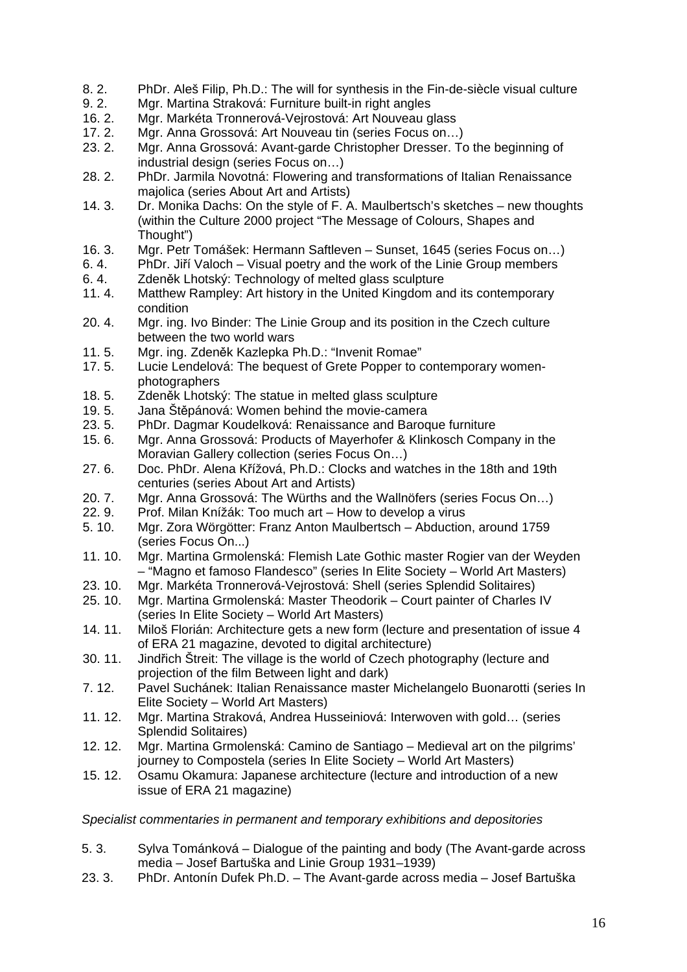- 8. 2. PhDr. Aleš Filip, Ph.D.: The will for synthesis in the Fin-de-siècle visual culture
- 9. 2. Mgr. Martina Straková: Furniture built-in right angles
- 16. 2. Mgr. Markéta Tronnerová-Vejrostová: Art Nouveau glass
- 17. 2. Mgr. Anna Grossová: Art Nouveau tin (series Focus on…)
- 23. 2. Mgr. Anna Grossová: Avant-garde Christopher Dresser. To the beginning of industrial design (series Focus on…)
- 28. 2. PhDr. Jarmila Novotná: Flowering and transformations of Italian Renaissance majolica (series About Art and Artists)
- 14. 3. Dr. Monika Dachs: On the style of F. A. Maulbertsch's sketches new thoughts (within the Culture 2000 project "The Message of Colours, Shapes and Thought")
- 16. 3. Mgr. Petr Tomášek: Hermann Saftleven Sunset, 1645 (series Focus on…)
- 6. 4. PhDr. Jiří Valoch Visual poetry and the work of the Linie Group members
- 6. 4. Zdeněk Lhotský: Technology of melted glass sculpture
- 11. 4. Matthew Rampley: Art history in the United Kingdom and its contemporary condition
- 20. 4. Mgr. ing. Ivo Binder: The Linie Group and its position in the Czech culture between the two world wars
- 11. 5. Mgr. ing. Zdeněk Kazlepka Ph.D.: "Invenit Romae"
- 17. 5. Lucie Lendelová: The bequest of Grete Popper to contemporary womenphotographers
- 18. 5. Zdeněk Lhotský: The statue in melted glass sculpture<br>19. 5. Jana Štěpánová: Women behind the movie-camera
- Jana Štěpánová: Women behind the movie-camera
- 23. 5. PhDr. Dagmar Koudelková: Renaissance and Baroque furniture
- 15. 6. Mgr. Anna Grossová: Products of Mayerhofer & Klinkosch Company in the Moravian Gallery collection (series Focus On…)
- 27. 6. Doc. PhDr. Alena Křížová, Ph.D.: Clocks and watches in the 18th and 19th centuries (series About Art and Artists)
- 20. 7. Mgr. Anna Grossová: The Würths and the Wallnöfers (series Focus On…)
- 22. 9. Prof. Milan Knížák: Too much art How to develop a virus<br>5. 10. Mar. Zora Wörgötter: Franz Anton Maulbertsch Abduction
- 5. 10. Mgr. Zora Wörgötter: Franz Anton Maulbertsch Abduction, around 1759 (series Focus On...)
- 11. 10. Mgr. Martina Grmolenská: Flemish Late Gothic master Rogier van der Weyden – "Magno et famoso Flandesco" (series In Elite Society – World Art Masters)
- 23. 10. Mgr. Markéta Tronnerová-Vejrostová: Shell (series Splendid Solitaires)
- 25. 10. Mgr. Martina Grmolenská: Master Theodorik Court painter of Charles IV (series In Elite Society – World Art Masters)
- 14. 11. Miloš Florián: Architecture gets a new form (lecture and presentation of issue 4 of ERA 21 magazine, devoted to digital architecture)
- 30. 11. Jindřich Štreit: The village is the world of Czech photography (lecture and projection of the film Between light and dark)
- 7. 12. Pavel Suchánek: Italian Renaissance master Michelangelo Buonarotti (series In Elite Society – World Art Masters)
- 11. 12. Mgr. Martina Straková, Andrea Husseiniová: Interwoven with gold… (series Splendid Solitaires)
- 12. 12. Mgr. Martina Grmolenská: Camino de Santiago Medieval art on the pilgrims' journey to Compostela (series In Elite Society – World Art Masters)
- 15. 12. Osamu Okamura: Japanese architecture (lecture and introduction of a new issue of ERA 21 magazine)

# *Specialist commentaries in permanent and temporary exhibitions and depositories*

- 5. 3. Sylva Tománková Dialogue of the painting and body (The Avant-garde across media – Josef Bartuška and Linie Group 1931–1939)
- 23. 3. PhDr. Antonín Dufek Ph.D. The Avant-garde across media Josef Bartuška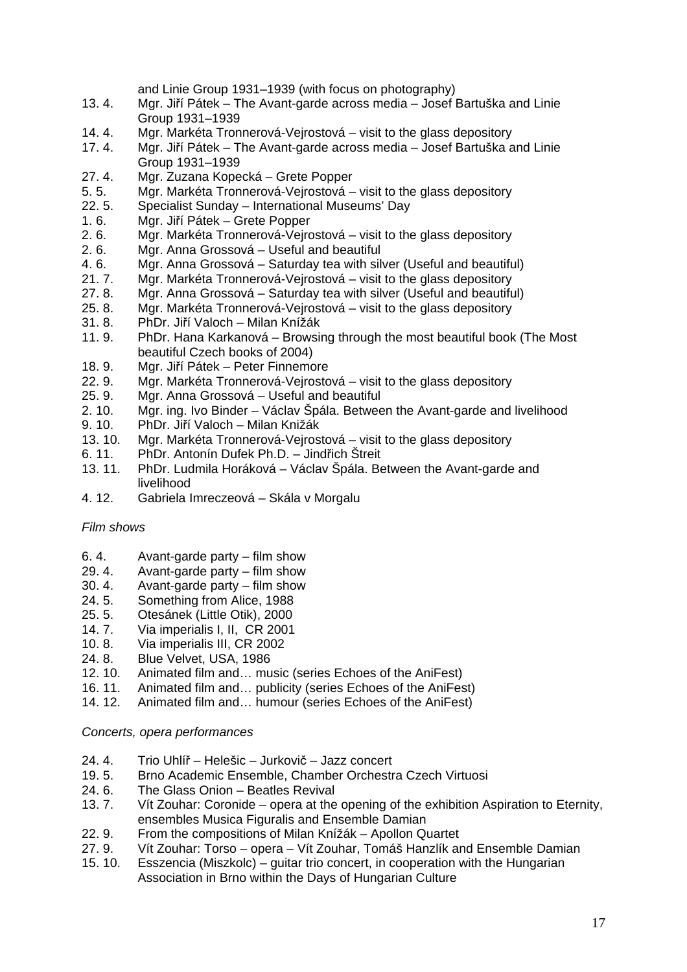and Linie Group 1931–1939 (with focus on photography)

- 13. 4. Mgr. Jiří Pátek The Avant-garde across media Josef Bartuška and Linie Group 1931–1939
- 14. 4. Mgr. Markéta Tronnerová-Vejrostová visit to the glass depository
- 17. 4. Mgr. Jiří Pátek The Avant-garde across media Josef Bartuška and Linie Group 1931–1939
- 27. 4. Mgr. Zuzana Kopecká Grete Popper
- 5. 5. Mgr. Markéta Tronnerová-Vejrostová visit to the glass depository
- 22. 5. Specialist Sunday International Museums' Day
- 1. 6. Mgr. Jiří Pátek Grete Popper
- 2. 6. Mgr. Markéta Tronnerová-Vejrostová visit to the glass depository
- 2. 6. Mgr. Anna Grossová Useful and beautiful
- 4. 6. Mgr. Anna Grossová Saturday tea with silver (Useful and beautiful)
- 21. 7. Mgr. Markéta Tronnerová-Vejrostová visit to the glass depository<br>27. 8. Mgr. Anna Grossová Saturdav tea with silver (Useful and beautifu
- Mgr. Anna Grossová Saturday tea with silver (Useful and beautiful)
- 25. 8. Mgr. Markéta Tronnerová-Vejrostová visit to the glass depository
- 31. 8. PhDr. Jiří Valoch Milan Knížák
- 11. 9. PhDr. Hana Karkanová Browsing through the most beautiful book (The Most beautiful Czech books of 2004)
- 18. 9. Mgr. Jiří Pátek Peter Finnemore
- 22. 9. Mgr. Markéta Tronnerová-Vejrostová visit to the glass depository
- 25. 9. Mgr. Anna Grossová Useful and beautiful
- 2. 10. Mgr. ing. Ivo Binder Václav Špála. Between the Avant-garde and livelihood
- 9. 10. PhDr. Jiří Valoch Milan Knižák
- 13. 10. Mgr. Markéta Tronnerová-Vejrostová visit to the glass depository
- 6. 11. PhDr. Antonín Dufek Ph.D. Jindřich Štreit
- 13. 11. PhDr. Ludmila Horáková Václav Špála. Between the Avant-garde and livelihood
- 4. 12. Gabriela Imreczeová Skála v Morgalu

# *Film shows*

- 6. 4. Avant-garde party film show
- 29. 4. Avant-garde party film show
- 30. 4. Avant-garde party film show
- 24. 5. Something from Alice, 1988<br>25. 5. Otesánek (Little Otik), 2000
- 25. 5. Otesánek (Little Otik), 2000
- 14. 7. Via imperialis I, II, CR 2001
- 10. 8. Via imperialis III, CR 2002
- 24. 8. Blue Velvet, USA, 1986
- 12. 10. Animated film and… music (series Echoes of the AniFest)
- 16. 11. Animated film and… publicity (series Echoes of the AniFest)
- 14. 12. Animated film and… humour (series Echoes of the AniFest)

*Concerts, opera performances* 

- 24. 4. Trio Uhlíř Helešic Jurkovič Jazz concert
- 19. 5. Brno Academic Ensemble, Chamber Orchestra Czech Virtuosi
- 24. 6. The Glass Onion Beatles Revival
- 13. 7. Vít Zouhar: Coronide opera at the opening of the exhibition Aspiration to Eternity, ensembles Musica Figuralis and Ensemble Damian
- 22. 9. From the compositions of Milan Knížák Apollon Quartet
- 27. 9. Vít Zouhar: Torso opera Vít Zouhar, Tomáš Hanzlík and Ensemble Damian
- 15. 10. Esszencia (Miszkolc) guitar trio concert, in cooperation with the Hungarian Association in Brno within the Days of Hungarian Culture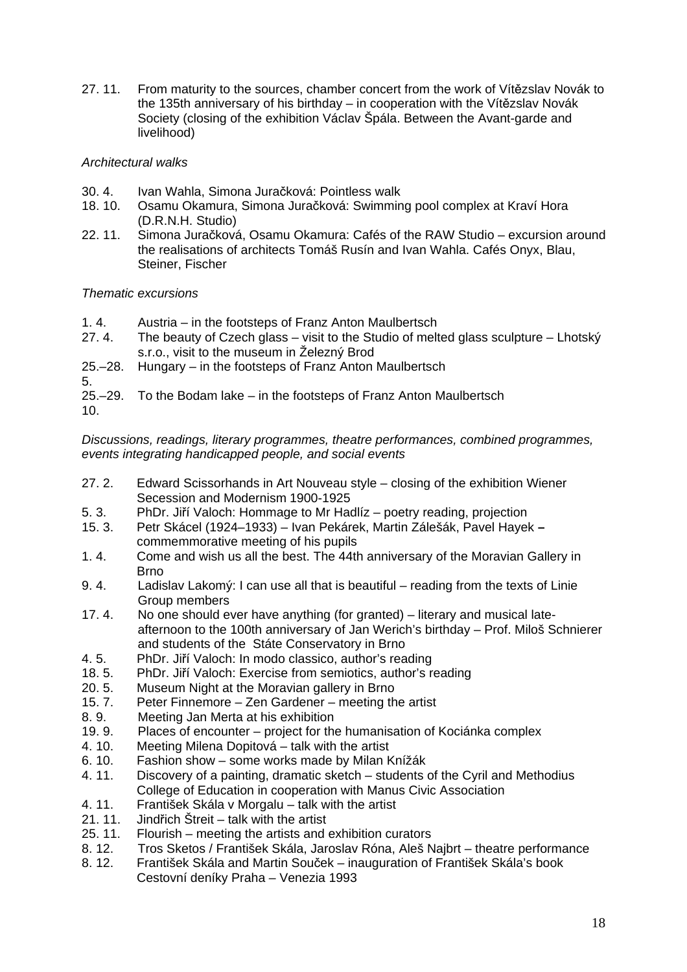27. 11. From maturity to the sources, chamber concert from the work of Vítězslav Novák to the 135th anniversary of his birthday – in cooperation with the Vítězslav Novák Society (closing of the exhibition Václav Špála. Between the Avant-garde and livelihood)

# *Architectural walks*

- 30. 4. Ivan Wahla, Simona Juračková: Pointless walk
- 18. 10. Osamu Okamura, Simona Juračková: Swimming pool complex at Kraví Hora (D.R.N.H. Studio)
- 22. 11. Simona Juračková, Osamu Okamura: Cafés of the RAW Studio excursion around the realisations of architects Tomáš Rusín and Ivan Wahla. Cafés Onyx, Blau, Steiner, Fischer

# *Thematic excursions*

| 1.4.   | Austria – in the footsteps of Franz Anton Maulbertsch                               |
|--------|-------------------------------------------------------------------------------------|
| 27. 4. | The beauty of Czech glass – visit to the Studio of melted glass sculpture – Lhotský |
|        | s.r.o., visit to the museum in Zelezný Brod                                         |
|        | 25.–28. Hungary – in the footsteps of Franz Anton Maulbertsch                       |
| 5.     |                                                                                     |
|        | 25.–29. To the Bodam lake – in the footsteps of Franz Anton Maulbertsch             |
| 10.    |                                                                                     |

*Discussions, readings, literary programmes, theatre performances, combined programmes, events integrating handicapped people, and social events* 

- 27. 2. Edward Scissorhands in Art Nouveau style closing of the exhibition Wiener Secession and Modernism 1900-1925
- 5. 3. PhDr. Jiří Valoch: Hommage to Mr Hadlíz poetry reading, projection
- 15. 3. Petr Skácel (1924–1933) Ivan Pekárek, Martin Zálešák, Pavel Hayek commemmorative meeting of his pupils
- 1. 4. Come and wish us all the best. The 44th anniversary of the Moravian Gallery in **Brno**
- 9. 4. Ladislav Lakomý: I can use all that is beautiful reading from the texts of Linie Group members
- 17. 4. No one should ever have anything (for granted) literary and musical lateafternoon to the 100th anniversary of Jan Werich's birthday – Prof. Miloš Schnierer and students of the Státe Conservatory in Brno
- 4. 5. PhDr. Jiří Valoch: In modo classico, author's reading
- 18. 5. PhDr. Jiří Valoch: Exercise from semiotics, author's reading
- 20. 5. Museum Night at the Moravian gallery in Brno
- 15. 7. Peter Finnemore Zen Gardener meeting the artist
- 8. 9. Meeting Jan Merta at his exhibition
- 19. 9. Places of encounter project for the humanisation of Kociánka complex
- 4. 10. Meeting Milena Dopitová talk with the artist
- 6. 10. Fashion show some works made by Milan Knížák
- 4. 11. Discovery of a painting, dramatic sketch students of the Cyril and Methodius College of Education in cooperation with Manus Civic Association
- 4. 11. František Skála v Morgalu talk with the artist
- 21. 11. Jindřich Štreit talk with the artist
- 25. 11. Flourish meeting the artists and exhibition curators
- 8. 12. Tros Sketos / František Skála, Jaroslav Róna, Aleš Najbrt theatre performance
- 8. 12. František Skála and Martin Souček inauguration of František Skála's book Cestovní deníky Praha – Venezia 1993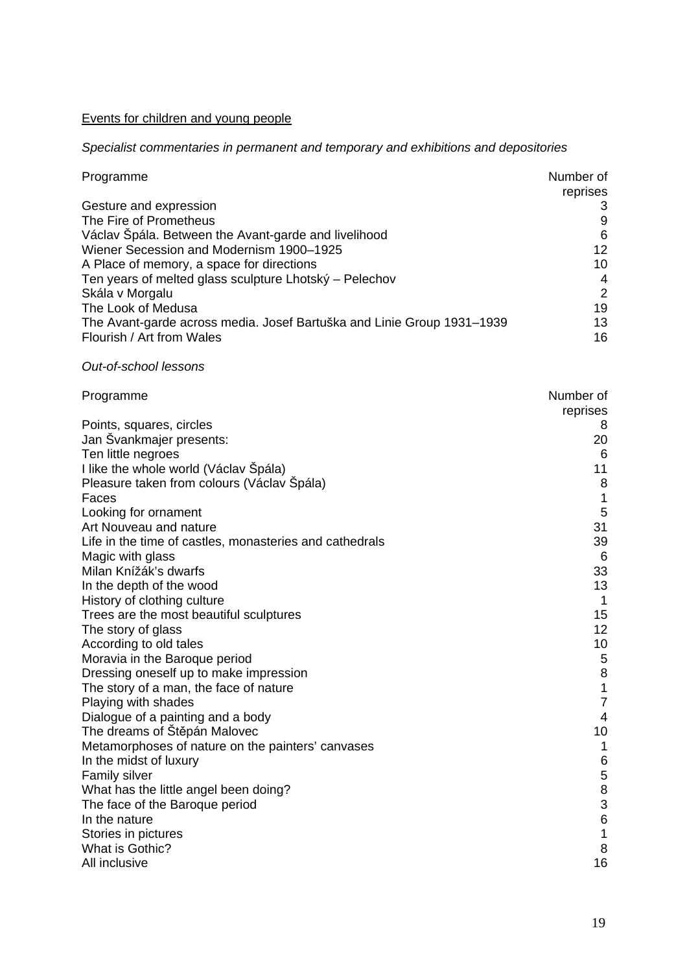# Events for children and young people

# *Specialist commentaries in permanent and temporary and exhibitions and depositories*

| Number of<br>reprises |
|-----------------------|
| 3                     |
| 9                     |
| 6                     |
| 12                    |
| 10                    |
| 4                     |
| $\overline{2}$        |
| 19                    |
| 13                    |
| 16                    |
|                       |

# *Out-of-school lessons*

| Programme                                               | Number of                             |
|---------------------------------------------------------|---------------------------------------|
|                                                         | reprises                              |
| Points, squares, circles                                | 8                                     |
| Jan Svankmajer presents:                                | 20                                    |
| Ten little negroes                                      | 6                                     |
| I like the whole world (Václav Špála)                   | 11                                    |
| Pleasure taken from colours (Václav Spála)              | 8                                     |
| Faces                                                   | $\mathbf 1$                           |
| Looking for ornament                                    | 5                                     |
| Art Nouveau and nature                                  | 31                                    |
| Life in the time of castles, monasteries and cathedrals | 39                                    |
| Magic with glass                                        | 6                                     |
| Milan Knížák's dwarfs                                   | 33                                    |
| In the depth of the wood                                | 13                                    |
| History of clothing culture                             | -1                                    |
| Trees are the most beautiful sculptures                 | 15                                    |
| The story of glass                                      | 12                                    |
| According to old tales                                  | 10                                    |
| Moravia in the Baroque period                           | 5                                     |
| Dressing oneself up to make impression                  | $\, 8$                                |
| The story of a man, the face of nature                  | $\mathbf{1}$                          |
| Playing with shades                                     | $\overline{7}$                        |
| Dialogue of a painting and a body                       | $\overline{4}$                        |
| The dreams of Stěpán Malovec                            | 10                                    |
| Metamorphoses of nature on the painters' canvases       | $\mathbf 1$                           |
| In the midst of luxury                                  | $\,6$                                 |
| <b>Family silver</b>                                    | $\begin{array}{c} 5 \\ 8 \end{array}$ |
| What has the little angel been doing?                   |                                       |
| The face of the Baroque period                          | $\mathfrak{S}$                        |
| In the nature                                           | $6\phantom{1}6$                       |
| Stories in pictures                                     | $\mathbf 1$                           |
| What is Gothic?                                         | 8                                     |
| All inclusive                                           | 16                                    |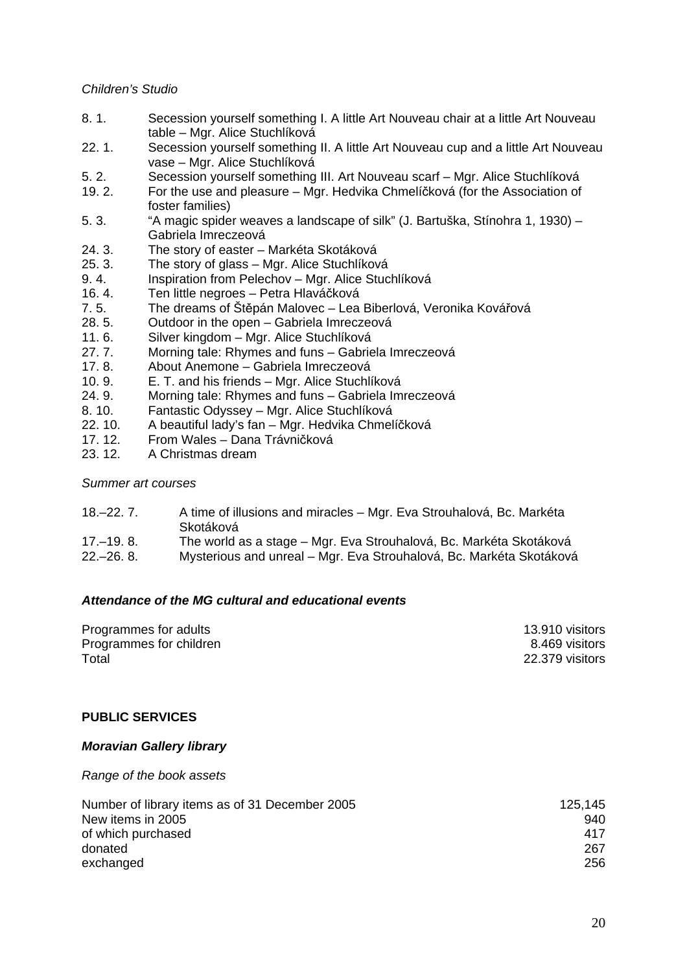# *Children's Studio*

- 8. 1. Secession yourself something I. A little Art Nouveau chair at a little Art Nouveau table – Mgr. Alice Stuchlíková
- 22. 1. Secession yourself something II. A little Art Nouveau cup and a little Art Nouveau vase – Mgr. Alice Stuchlíková
- 5. 2. Secession yourself something III. Art Nouveau scarf Mgr. Alice Stuchlíková
- 19. 2. For the use and pleasure Mgr. Hedvika Chmelíčková (for the Association of foster families)
- 5. 3. "A magic spider weaves a landscape of silk" (J. Bartuška, Stínohra 1, 1930) Gabriela Imreczeová
- 24. 3. The story of easter Markéta Skotáková
- 25. 3. The story of glass Mgr. Alice Stuchlíková
- 9. 4. Inspiration from Pelechov Mgr. Alice Stuchlíková
- 16. 4. Ten little negroes Petra Hlaváčková
- 7. 5. The dreams of Štěpán Malovec Lea Biberlová, Veronika Kovářová
- 28. 5. Outdoor in the open Gabriela Imreczeová
- 11. 6. Silver kingdom Mgr. Alice Stuchlíková
- 27. 7. Morning tale: Rhymes and funs Gabriela Imreczeová
- 17. 8. About Anemone Gabriela Imreczeová
- 10. 9. E. T. and his friends Mgr. Alice Stuchlíková
- 24. 9. Morning tale: Rhymes and funs Gabriela Imreczeová<br>8. 10. Fantastic Odyssev Mgr. Alice Stuchlíková
- Fantastic Odyssey Mgr. Alice Stuchlíková
- 22. 10. A beautiful lady's fan Mgr. Hedvika Chmelíčková
- 17. 12. From Wales Dana Trávničková
- 23. 12. A Christmas dream

#### *Summer art courses*

| $18 - 22.7$ . | A time of illusions and miracles - Mgr. Eva Strouhalová, Bc. Markéta |
|---------------|----------------------------------------------------------------------|
|               | Skotáková                                                            |
| $17 - 19.8$ . | The world as a stage – Mgr. Eva Strouhalová, Bc. Markéta Skotáková   |
| 22.–26.8.     | Mysterious and unreal - Mgr. Eva Strouhalová, Bc. Markéta Skotáková  |

### *Attendance of the MG cultural and educational events*

| Programmes for adults   | 13.910 visitors |
|-------------------------|-----------------|
| Programmes for children | 8.469 visitors  |
| Total                   | 22.379 visitors |

## **PUBLIC SERVICES**

#### *Moravian Gallery library*

*Range of the book assets* 

| Number of library items as of 31 December 2005<br>New items in 2005 | 125,145<br>940 |
|---------------------------------------------------------------------|----------------|
|                                                                     |                |
| donated                                                             | 267            |
| exchanged                                                           | 256            |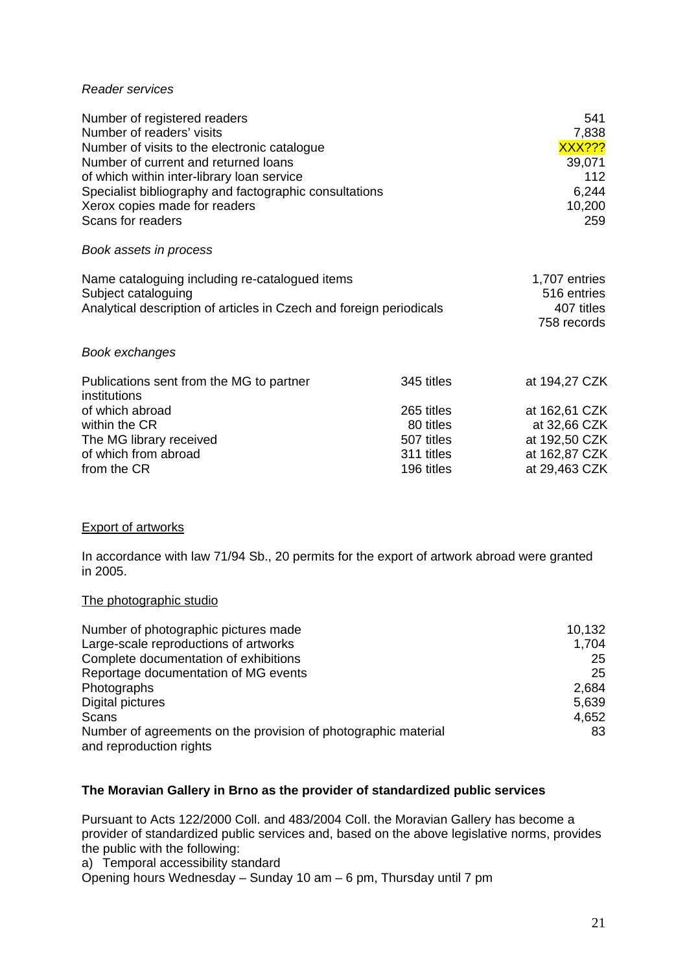### *Reader services*

| Number of registered readers<br>Number of readers' visits<br>Number of visits to the electronic catalogue<br>Number of current and returned loans<br>of which within inter-library loan service<br>Specialist bibliography and factographic consultations<br>Xerox copies made for readers<br>Scans for readers<br>Book assets in process |            | 541<br>7,838<br><b>XXX???</b><br>39,071<br>112<br>6,244<br>10,200<br>259 |
|-------------------------------------------------------------------------------------------------------------------------------------------------------------------------------------------------------------------------------------------------------------------------------------------------------------------------------------------|------------|--------------------------------------------------------------------------|
| Name cataloguing including re-catalogued items<br>Subject cataloguing<br>Analytical description of articles in Czech and foreign periodicals                                                                                                                                                                                              |            | 1,707 entries<br>516 entries<br>407 titles<br>758 records                |
| Book exchanges                                                                                                                                                                                                                                                                                                                            |            |                                                                          |
| Publications sent from the MG to partner<br>institutions                                                                                                                                                                                                                                                                                  | 345 titles | at 194,27 CZK                                                            |
| of which abroad                                                                                                                                                                                                                                                                                                                           | 265 titles | at 162,61 CZK                                                            |
| within the CR                                                                                                                                                                                                                                                                                                                             | 80 titles  | at 32,66 CZK                                                             |
| The MG library received                                                                                                                                                                                                                                                                                                                   | 507 titles | at 192,50 CZK                                                            |
| of which from abroad                                                                                                                                                                                                                                                                                                                      | 311 titles | at 162,87 CZK                                                            |
| from the CR                                                                                                                                                                                                                                                                                                                               | 196 titles | at 29,463 CZK                                                            |

# Export of artworks

In accordance with law 71/94 Sb., 20 permits for the export of artwork abroad were granted in 2005.

### The photographic studio

| Number of photographic pictures made                                                      | 10,132 |
|-------------------------------------------------------------------------------------------|--------|
| Large-scale reproductions of artworks                                                     | 1,704  |
| Complete documentation of exhibitions                                                     | 25     |
| Reportage documentation of MG events                                                      | 25     |
| Photographs                                                                               | 2,684  |
| Digital pictures                                                                          | 5,639  |
| Scans                                                                                     | 4,652  |
| Number of agreements on the provision of photographic material<br>and reproduction rights | 83     |

# **The Moravian Gallery in Brno as the provider of standardized public services**

Pursuant to Acts 122/2000 Coll. and 483/2004 Coll. the Moravian Gallery has become a provider of standardized public services and, based on the above legislative norms, provides the public with the following:

a) Temporal accessibility standard

Opening hours Wednesday – Sunday 10 am – 6 pm, Thursday until 7 pm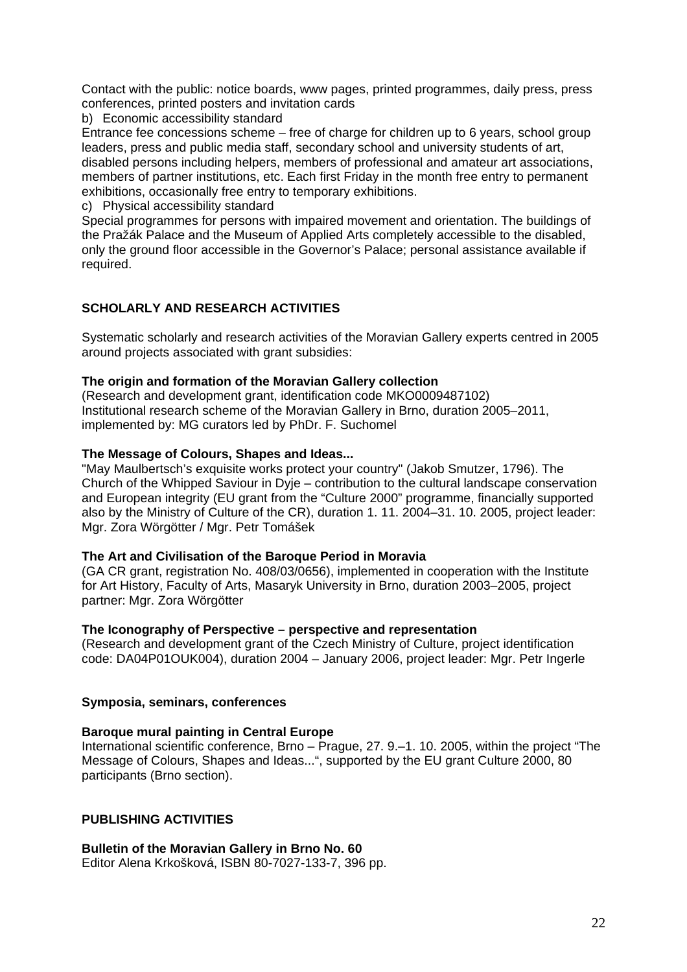Contact with the public: notice boards, www pages, printed programmes, daily press, press conferences, printed posters and invitation cards

b) Economic accessibility standard

Entrance fee concessions scheme – free of charge for children up to 6 years, school group leaders, press and public media staff, secondary school and university students of art, disabled persons including helpers, members of professional and amateur art associations, members of partner institutions, etc. Each first Friday in the month free entry to permanent exhibitions, occasionally free entry to temporary exhibitions.

c) Physical accessibility standard

Special programmes for persons with impaired movement and orientation. The buildings of the Pražák Palace and the Museum of Applied Arts completely accessible to the disabled, only the ground floor accessible in the Governor's Palace; personal assistance available if required.

# **SCHOLARLY AND RESEARCH ACTIVITIES**

Systematic scholarly and research activities of the Moravian Gallery experts centred in 2005 around projects associated with grant subsidies:

# **The origin and formation of the Moravian Gallery collection**

(Research and development grant, identification code MKO0009487102) Institutional research scheme of the Moravian Gallery in Brno, duration 2005–2011, implemented by: MG curators led by PhDr. F. Suchomel

### **The Message of Colours, Shapes and Ideas...**

"May Maulbertsch's exquisite works protect your country" (Jakob Smutzer, 1796). The Church of the Whipped Saviour in Dyje – contribution to the cultural landscape conservation and European integrity (EU grant from the "Culture 2000" programme, financially supported also by the Ministry of Culture of the CR), duration 1. 11. 2004–31. 10. 2005, project leader: Mgr. Zora Wörgötter / Mgr. Petr Tomášek

#### **The Art and Civilisation of the Baroque Period in Moravia**

(GA CR grant, registration No. 408/03/0656), implemented in cooperation with the Institute for Art History, Faculty of Arts, Masaryk University in Brno, duration 2003–2005, project partner: Mgr. Zora Wörgötter

#### **The Iconography of Perspective – perspective and representation**

(Research and development grant of the Czech Ministry of Culture, project identification code: DA04P01OUK004), duration 2004 – January 2006, project leader: Mgr. Petr Ingerle

# **Symposia, seminars, conferences**

#### **Baroque mural painting in Central Europe**

International scientific conference, Brno – Prague, 27. 9.–1. 10. 2005, within the project "The Message of Colours, Shapes and Ideas...", supported by the EU grant Culture 2000, 80 participants (Brno section).

# **PUBLISHING ACTIVITIES**

# **Bulletin of the Moravian Gallery in Brno No. 60**

Editor Alena Krkošková, ISBN 80-7027-133-7, 396 pp.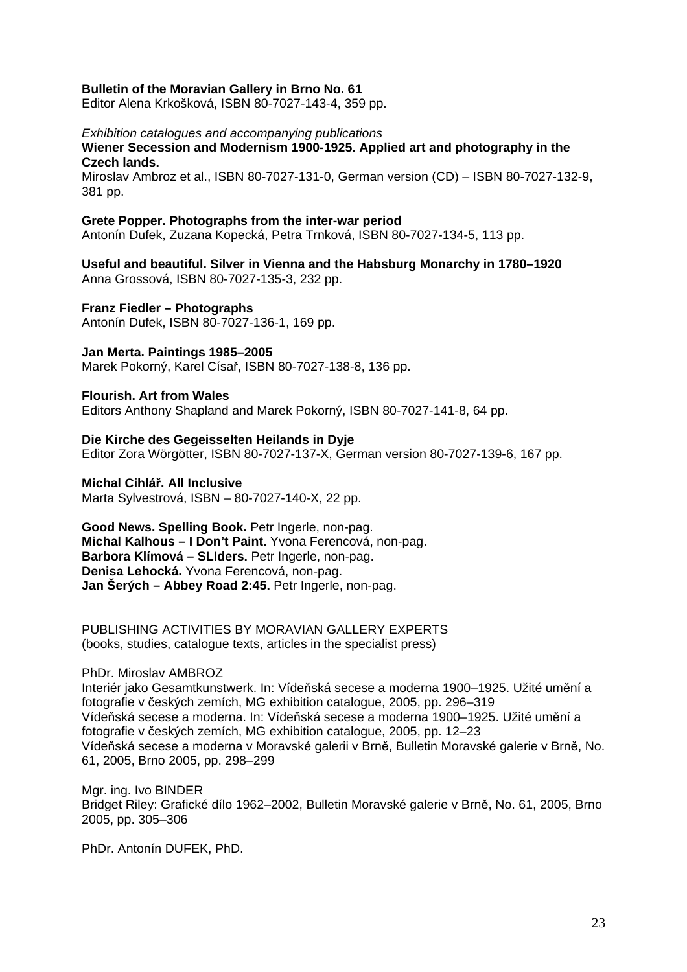#### **Bulletin of the Moravian Gallery in Brno No. 61**

Editor Alena Krkošková, ISBN 80-7027-143-4, 359 pp.

# *Exhibition catalogues and accompanying publications*  **Wiener Secession and Modernism 1900-1925. Applied art and photography in the Czech lands.**

Miroslav Ambroz et al., ISBN 80-7027-131-0, German version (CD) – ISBN 80-7027-132-9, 381 pp.

#### **Grete Popper. Photographs from the inter-war period**

Antonín Dufek, Zuzana Kopecká, Petra Trnková, ISBN 80-7027-134-5, 113 pp.

# **Useful and beautiful. Silver in Vienna and the Habsburg Monarchy in 1780–1920**

Anna Grossová, ISBN 80-7027-135-3, 232 pp.

#### **Franz Fiedler – Photographs**

Antonín Dufek, ISBN 80-7027-136-1, 169 pp.

#### **Jan Merta. Paintings 1985–2005**

Marek Pokorný, Karel Císař, ISBN 80-7027-138-8, 136 pp.

#### **Flourish. Art from Wales**

Editors Anthony Shapland and Marek Pokorný, ISBN 80-7027-141-8, 64 pp.

#### **Die Kirche des Gegeisselten Heilands in Dyje**

Editor Zora Wörgötter, ISBN 80-7027-137-X, German version 80-7027-139-6, 167 pp.

#### **Michal Cihlář. All Inclusive**

Marta Sylvestrová, ISBN – 80-7027-140-X, 22 pp.

#### **Good News. Spelling Book.** Petr Ingerle, non-pag. **Michal Kalhous – I Don't Paint.** Yvona Ferencová, non-pag. **Barbora Klímová – SLIders.** Petr Ingerle, non-pag. **Denisa Lehocká.** Yvona Ferencová, non-pag. **Jan Šerých – Abbey Road 2:45.** Petr Ingerle, non-pag.

PUBLISHING ACTIVITIES BY MORAVIAN GALLERY EXPERTS (books, studies, catalogue texts, articles in the specialist press)

#### PhDr. Miroslav AMBROZ

Interiér jako Gesamtkunstwerk. In: Vídeňská secese a moderna 1900–1925. Užité umění a fotografie v českých zemích, MG exhibition catalogue, 2005, pp. 296–319 Vídeňská secese a moderna. In: Vídeňská secese a moderna 1900–1925. Užité umění a fotografie v českých zemích, MG exhibition catalogue, 2005, pp. 12–23 Vídeňská secese a moderna v Moravské galerii v Brně, Bulletin Moravské galerie v Brně, No. 61, 2005, Brno 2005, pp. 298–299

#### Mgr. ing. Ivo BINDER Bridget Riley: Grafické dílo 1962–2002, Bulletin Moravské galerie v Brně, No. 61, 2005, Brno 2005, pp. 305–306

PhDr. Antonín DUFEK, PhD.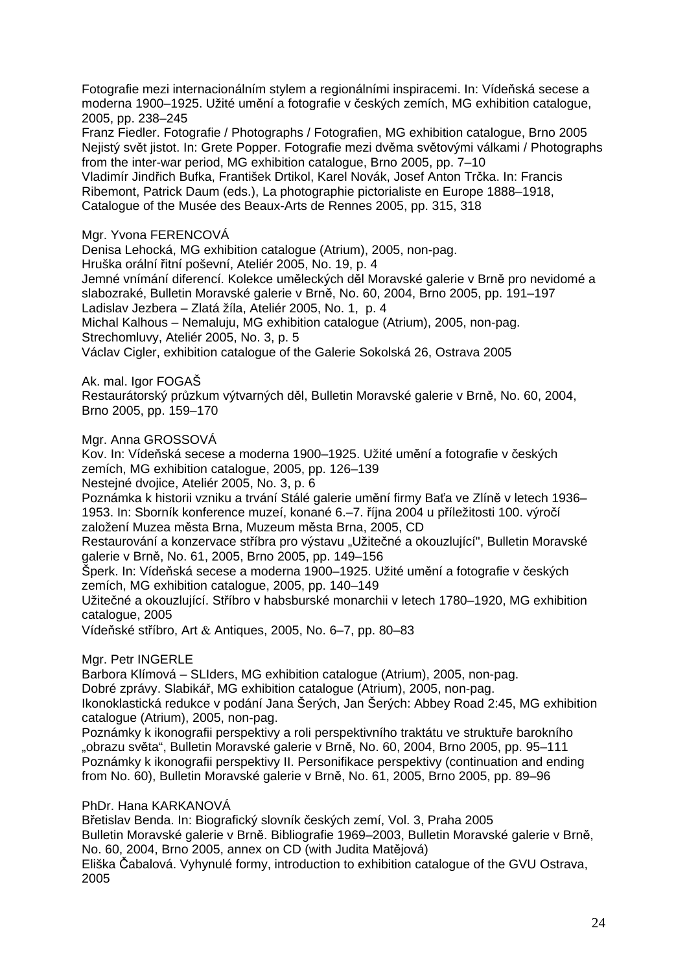Fotografie mezi internacionálním stylem a regionálními inspiracemi. In: Vídeňská secese a moderna 1900–1925. Užité umění a fotografie v českých zemích, MG exhibition catalogue, 2005, pp. 238–245

Franz Fiedler. Fotografie / Photographs / Fotografien, MG exhibition catalogue, Brno 2005 Nejistý svět jistot. In: Grete Popper. Fotografie mezi dvěma světovými válkami / Photographs from the inter-war period, MG exhibition catalogue, Brno 2005, pp. 7–10

Vladimír Jindřich Bufka, František Drtikol, Karel Novák, Josef Anton Trčka. In: Francis Ribemont, Patrick Daum (eds.), La photographie pictorialiste en Europe 1888–1918, Catalogue of the Musée des Beaux-Arts de Rennes 2005, pp. 315, 318

Mgr. Yvona FERENCOVÁ

Denisa Lehocká, MG exhibition catalogue (Atrium), 2005, non-pag.

Hruška orální řitní poševní, Ateliér 2005, No. 19, p. 4

Jemné vnímání diferencí. Kolekce uměleckých děl Moravské galerie v Brně pro nevidomé a slabozraké, Bulletin Moravské galerie v Brně, No. 60, 2004, Brno 2005, pp. 191–197 Ladislav Jezbera – Zlatá žíla, Ateliér 2005, No. 1, p. 4

Michal Kalhous *–* Nemaluju, MG exhibition catalogue (Atrium), 2005, non-pag. Strechomluvy, Ateliér 2005, No. 3, p. 5

Václav Cigler, exhibition catalogue of the Galerie Sokolská 26, Ostrava 2005

Ak. mal. Igor FOGAŠ

Restaurátorský průzkum výtvarných děl, Bulletin Moravské galerie v Brně, No. 60, 2004, Brno 2005, pp. 159–170

Mgr. Anna GROSSOVÁ

Kov. In: Vídeňská secese a moderna 1900–1925. Užité umění a fotografie v českých zemích, MG exhibition catalogue, 2005, pp. 126–139

Nestejné dvojice, Ateliér 2005, No. 3, p. 6

Poznámka k historii vzniku a trvání Stálé galerie umění firmy Baťa ve Zlíně v letech 1936– 1953. In: Sborník konference muzeí, konané 6.–7. října 2004 u příležitosti 100. výročí založení Muzea města Brna, Muzeum města Brna, 2005, CD

Restaurování a konzervace stříbra pro výstavu "Užitečné a okouzlující", Bulletin Moravské galerie v Brně, No. 61, 2005, Brno 2005, pp. 149–156

Šperk. In: Vídeňská secese a moderna 1900–1925. Užité umění a fotografie v českých zemích, MG exhibition catalogue, 2005, pp. 140–149

Užitečné a okouzlující. Stříbro v habsburské monarchii v letech 1780–1920, MG exhibition catalogue, 2005

Vídeňské stříbro, Art & Antiques, 2005, No. 6–7, pp. 80–83

Mgr. Petr INGERLE

Barbora Klímová – SLIders, MG exhibition catalogue (Atrium), 2005, non-pag. Dobré zprávy. Slabikář, MG exhibition catalogue (Atrium), 2005, non-pag.

Ikonoklastická redukce v podání Jana Šerých, Jan Šerých: Abbey Road 2:45, MG exhibition catalogue (Atrium), 2005, non-pag.

Poznámky k ikonografii perspektivy a roli perspektivního traktátu ve struktuře barokního "obrazu světa", Bulletin Moravské galerie v Brně, No. 60, 2004, Brno 2005, pp. 95–111 Poznámky k ikonografii perspektivy II. Personifikace perspektivy (continuation and ending from No. 60), Bulletin Moravské galerie v Brně, No. 61, 2005, Brno 2005, pp. 89–96

# PhDr. Hana KARKANOVÁ

Břetislav Benda. In: Biografický slovník českých zemí, Vol. 3, Praha 2005 Bulletin Moravské galerie v Brně. Bibliografie 1969–2003, Bulletin Moravské galerie v Brně, No. 60, 2004, Brno 2005, annex on CD (with Judita Matějová)

Eliška Čabalová. Vyhynulé formy, introduction to exhibition catalogue of the GVU Ostrava, 2005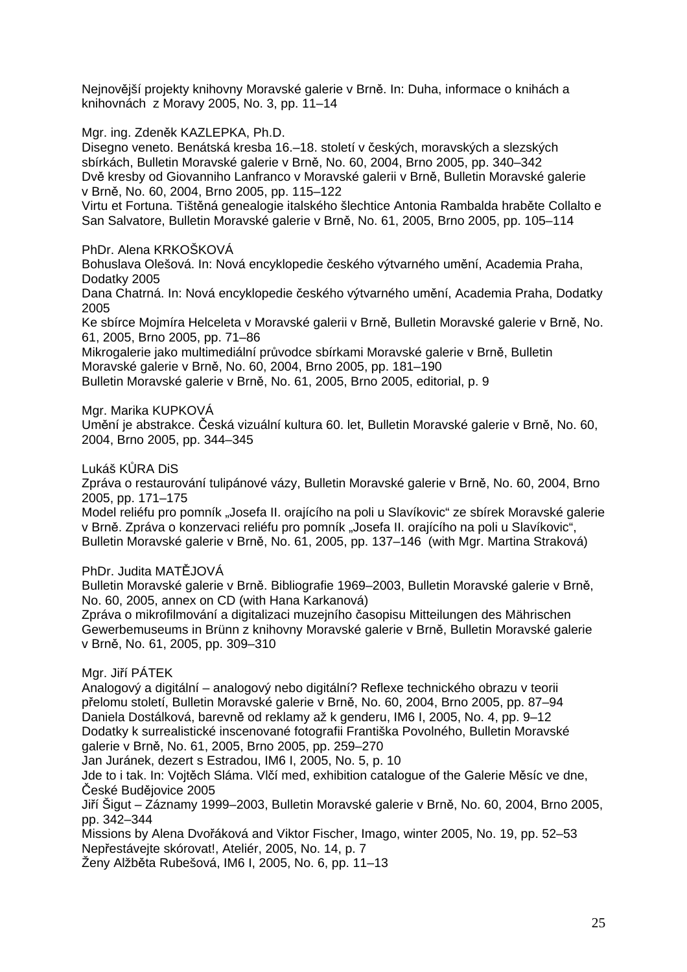Nejnovější projekty knihovny Moravské galerie v Brně. In: Duha, informace o knihách a knihovnách z Moravy 2005, No. 3, pp. 11–14

Mgr. ing. Zdeněk KAZLEPKA, Ph.D.

Disegno veneto. Benátská kresba 16.–18. století v českých, moravských a slezských sbírkách, Bulletin Moravské galerie v Brně, No. 60, 2004, Brno 2005, pp. 340–342 Dvě kresby od Giovanniho Lanfranco v Moravské galerii v Brně, Bulletin Moravské galerie v Brně, No. 60, 2004, Brno 2005, pp. 115–122

Virtu et Fortuna. Tištěná genealogie italského šlechtice Antonia Rambalda hraběte Collalto e San Salvatore, Bulletin Moravské galerie v Brně, No. 61, 2005, Brno 2005, pp. 105–114

PhDr. Alena KRKOŠKOVÁ

Bohuslava Olešová. In: Nová encyklopedie českého výtvarného umění, Academia Praha, Dodatky 2005

Dana Chatrná. In: Nová encyklopedie českého výtvarného umění, Academia Praha, Dodatky 2005

Ke sbírce Mojmíra Helceleta v Moravské galerii v Brně, Bulletin Moravské galerie v Brně, No. 61, 2005, Brno 2005, pp. 71–86

Mikrogalerie jako multimediální průvodce sbírkami Moravské galerie v Brně, Bulletin Moravské galerie v Brně, No. 60, 2004, Brno 2005, pp. 181–190

Bulletin Moravské galerie v Brně, No. 61, 2005, Brno 2005, editorial, p. 9

Mgr. Marika KUPKOVÁ

Umění je abstrakce. Česká vizuální kultura 60. let, Bulletin Moravské galerie v Brně, No. 60, 2004, Brno 2005, pp. 344–345

Lukáš KŮRA DiS

Zpráva o restaurování tulipánové vázy, Bulletin Moravské galerie v Brně, No. 60, 2004, Brno 2005, pp. 171–175

Model reliéfu pro pomník "Josefa II. orajícího na poli u Slavíkovic" ze sbírek Moravské galerie v Brně. Zpráva o konzervaci reliéfu pro pomník "Josefa II. orajícího na poli u Slavíkovic", Bulletin Moravské galerie v Brně, No. 61, 2005, pp. 137–146 (with Mgr. Martina Straková)

PhDr. Judita MATĚJOVÁ

Bulletin Moravské galerie v Brně. Bibliografie 1969–2003, Bulletin Moravské galerie v Brně, No. 60, 2005, annex on CD (with Hana Karkanová)

Zpráva o mikrofilmování a digitalizaci muzejního časopisu Mitteilungen des Mährischen Gewerbemuseums in Brünn z knihovny Moravské galerie v Brně, Bulletin Moravské galerie v Brně, No. 61, 2005, pp. 309–310

# Mgr. Jiří PÁTEK

Analogový a digitální – analogový nebo digitální? Reflexe technického obrazu v teorii přelomu století, Bulletin Moravské galerie v Brně, No. 60, 2004, Brno 2005, pp. 87–94 Daniela Dostálková, barevně od reklamy až k genderu, IM6 I, 2005, No. 4, pp. 9–12 Dodatky k surrealistické inscenované fotografii Františka Povolného, Bulletin Moravské galerie v Brně, No. 61, 2005, Brno 2005, pp. 259–270

Jan Juránek, dezert s Estradou, IM6 I, 2005, No. 5, p. 10

Jde to i tak. In: Vojtěch Sláma. Vlčí med, exhibition catalogue of the Galerie Měsíc ve dne, České Budějovice 2005

Jiří Šigut – Záznamy 1999–2003, Bulletin Moravské galerie v Brně, No. 60, 2004, Brno 2005, pp. 342–344

Missions by Alena Dvořáková and Viktor Fischer, Imago, winter 2005, No. 19, pp. 52–53 Nepřestávejte skórovat!, Ateliér, 2005, No. 14, p. 7

Ženy Alžběta Rubešová, IM6 I, 2005, No. 6, pp. 11–13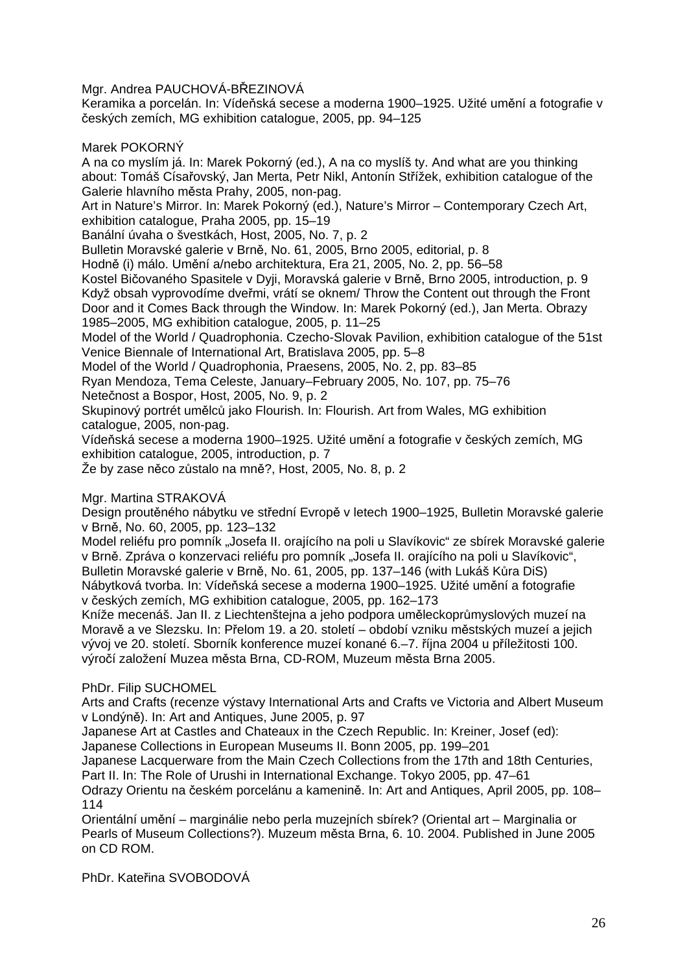Mgr. Andrea PAUCHOVÁ-BŘEZINOVÁ

Keramika a porcelán. In: Vídeňská secese a moderna 1900–1925. Užité umění a fotografie v českých zemích, MG exhibition catalogue, 2005, pp. 94–125

Marek POKORNÝ

A na co myslím já. In: Marek Pokorný (ed.), A na co myslíš ty. And what are you thinking about: Tomáš Císařovský, Jan Merta, Petr Nikl, Antonín Střížek, exhibition catalogue of the Galerie hlavního města Prahy, 2005, non-pag.

Art in Nature's Mirror. In: Marek Pokorný (ed.), Nature's Mirror – Contemporary Czech Art, exhibition catalogue, Praha 2005, pp. 15–19

Banální úvaha o švestkách, Host, 2005, No. 7, p. 2

Bulletin Moravské galerie v Brně, No. 61, 2005, Brno 2005, editorial, p. 8

Hodně (i) málo. Umění a/nebo architektura, Era 21, 2005, No. 2, pp. 56–58

Kostel Bičovaného Spasitele v Dyji, Moravská galerie v Brně, Brno 2005, introduction, p. 9 Když obsah vyprovodíme dveřmi, vrátí se oknem/ Throw the Content out through the Front Door and it Comes Back through the Window. In: Marek Pokorný (ed.), Jan Merta. Obrazy 1985–2005, MG exhibition catalogue, 2005, p. 11–25

Model of the World / Quadrophonia. Czecho-Slovak Pavilion, exhibition catalogue of the 51st Venice Biennale of International Art, Bratislava 2005, pp. 5–8

Model of the World / Quadrophonia, Praesens, 2005, No. 2, pp. 83–85

Ryan Mendoza, Tema Celeste, January–February 2005, No. 107, pp. 75–76

Netečnost a Bospor, Host, 2005, No. 9, p. 2

Skupinový portrét umělců jako Flourish. In: Flourish. Art from Wales, MG exhibition catalogue, 2005, non-pag.

Vídeňská secese a moderna 1900–1925. Užité umění a fotografie v českých zemích, MG exhibition catalogue, 2005, introduction, p. 7

Že by zase něco zůstalo na mně?, Host, 2005, No. 8, p. 2

Mgr. Martina STRAKOVÁ

Design proutěného nábytku ve střední Evropě v letech 1900–1925, Bulletin Moravské galerie v Brně, No. 60, 2005, pp. 123–132

Model reliéfu pro pomník "Josefa II. orajícího na poli u Slavíkovic" ze sbírek Moravské galerie v Brně. Zpráva o konzervaci reliéfu pro pomník "Josefa II. orajícího na poli u Slavíkovic", Bulletin Moravské galerie v Brně, No. 61, 2005, pp. 137–146 (with Lukáš Kůra DiS) Nábytková tvorba. In: Vídeňská secese a moderna 1900–1925. Užité umění a fotografie v českých zemích, MG exhibition catalogue, 2005, pp. 162–173

Kníže mecenáš. Jan II. z Liechtenštejna a jeho podpora uměleckoprůmyslových muzeí na Moravě a ve Slezsku. In: Přelom 19. a 20. století – období vzniku městských muzeí a jejich vývoj ve 20. století. Sborník konference muzeí konané 6.–7. října 2004 u příležitosti 100. výročí založení Muzea města Brna, CD-ROM, Muzeum města Brna 2005.

PhDr. Filip SUCHOMEL

Arts and Crafts (recenze výstavy International Arts and Crafts ve Victoria and Albert Museum v Londýně). In: Art and Antiques, June 2005, p. 97

Japanese Art at Castles and Chateaux in the Czech Republic. In: Kreiner, Josef (ed): Japanese Collections in European Museums II. Bonn 2005, pp. 199–201

Japanese Lacquerware from the Main Czech Collections from the 17th and 18th Centuries,

Part II. In: The Role of Urushi in International Exchange. Tokyo 2005, pp. 47–61

Odrazy Orientu na českém porcelánu a kamenině. In: Art and Antiques, April 2005, pp. 108– 114

Orientální umění – marginálie nebo perla muzejních sbírek? (Oriental art – Marginalia or Pearls of Museum Collections?). Muzeum města Brna, 6. 10. 2004. Published in June 2005 on CD ROM.

PhDr. Kateřina SVOBODOVÁ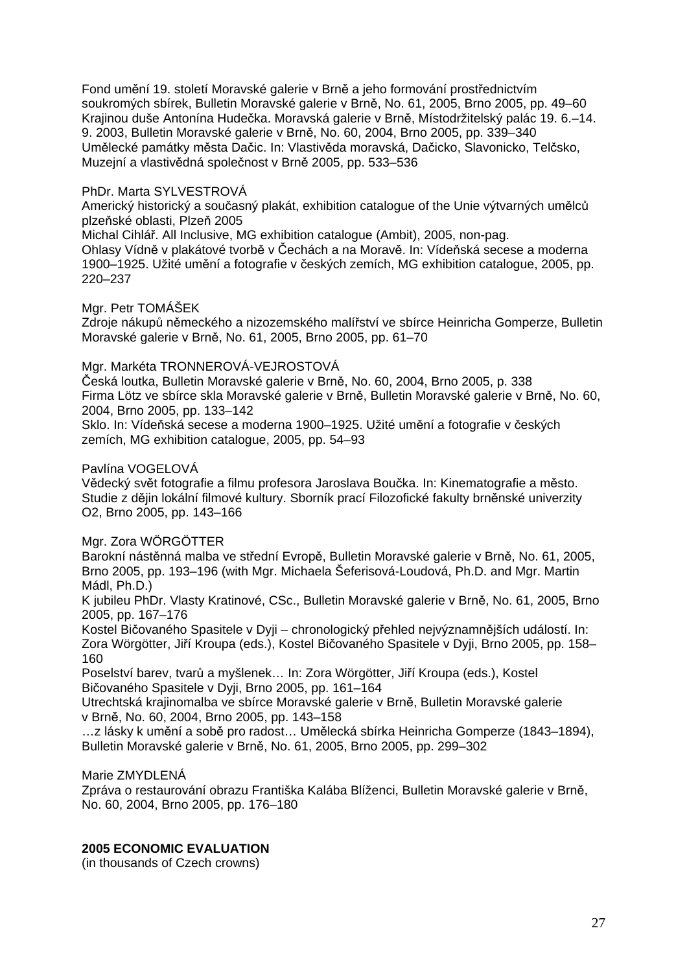Fond umění 19. století Moravské galerie v Brně a jeho formování prostřednictvím soukromých sbírek, Bulletin Moravské galerie v Brně, No. 61, 2005, Brno 2005, pp. 49–60 Krajinou duše Antonína Hudečka. Moravská galerie v Brně, Místodržitelský palác 19. 6.–14. 9. 2003, Bulletin Moravské galerie v Brně, No. 60, 2004, Brno 2005, pp. 339–340 Umělecké památky města Dačic. In: Vlastivěda moravská, Dačicko, Slavonicko, Telčsko, Muzejní a vlastivědná společnost v Brně 2005, pp. 533–536

## PhDr. Marta SYLVESTROVÁ

Americký historický a současný plakát, exhibition catalogue of the Unie výtvarných umělců plzeňské oblasti, Plzeň 2005

Michal Cihlář. All Inclusive, MG exhibition catalogue (Ambit), 2005, non-pag. Ohlasy Vídně v plakátové tvorbě v Čechách a na Moravě. In: Vídeňská secese a moderna 1900–1925. Užité umění a fotografie v českých zemích, MG exhibition catalogue, 2005, pp. 220–237

### Mgr. Petr TOMÁŠEK

Zdroje nákupů německého a nizozemského malířství ve sbírce Heinricha Gomperze, Bulletin Moravské galerie v Brně, No. 61, 2005, Brno 2005, pp. 61–70

#### Mgr. Markéta TRONNEROVÁ-VEJROSTOVÁ

Česká loutka, Bulletin Moravské galerie v Brně, No. 60, 2004, Brno 2005, p. 338 Firma Lötz ve sbírce skla Moravské galerie v Brně, Bulletin Moravské galerie v Brně, No. 60, 2004, Brno 2005, pp. 133–142

Sklo. In: Vídeňská secese a moderna 1900–1925. Užité umění a fotografie v českých zemích, MG exhibition catalogue, 2005, pp. 54–93

### Pavlína VOGELOVÁ

Vědecký svět fotografie a filmu profesora Jaroslava Boučka. In: Kinematografie a město. Studie z dějin lokální filmové kultury. Sborník prací Filozofické fakulty brněnské univerzity O2, Brno 2005, pp. 143–166

# Mgr. Zora WÖRGÖTTER

Barokní nástěnná malba ve střední Evropě, Bulletin Moravské galerie v Brně, No. 61, 2005, Brno 2005, pp. 193–196 (with Mgr. Michaela Šeferisová-Loudová, Ph.D. and Mgr. Martin Mádl, Ph.D.)

K jubileu PhDr. Vlasty Kratinové, CSc., Bulletin Moravské galerie v Brně, No. 61, 2005, Brno 2005, pp. 167–176

Kostel Bičovaného Spasitele v Dyji – chronologický přehled nejvýznamnějších událostí. In: Zora Wörgötter, Jiří Kroupa (eds.), Kostel Bičovaného Spasitele v Dyji, Brno 2005, pp. 158– 160

Poselství barev, tvarů a myšlenek… In: Zora Wörgötter, Jiří Kroupa (eds.), Kostel Bičovaného Spasitele v Dyji, Brno 2005, pp. 161–164

Utrechtská krajinomalba ve sbírce Moravské galerie v Brně, Bulletin Moravské galerie v Brně, No. 60, 2004, Brno 2005, pp. 143–158

…z lásky k umění a sobě pro radost… Umělecká sbírka Heinricha Gomperze (1843–1894), Bulletin Moravské galerie v Brně, No. 61, 2005, Brno 2005, pp. 299–302

#### Marie ZMYDLENÁ

Zpráva o restaurování obrazu Františka Kalába Blíženci, Bulletin Moravské galerie v Brně, No. 60, 2004, Brno 2005, pp. 176–180

# **2005 ECONOMIC EVALUATION**

(in thousands of Czech crowns)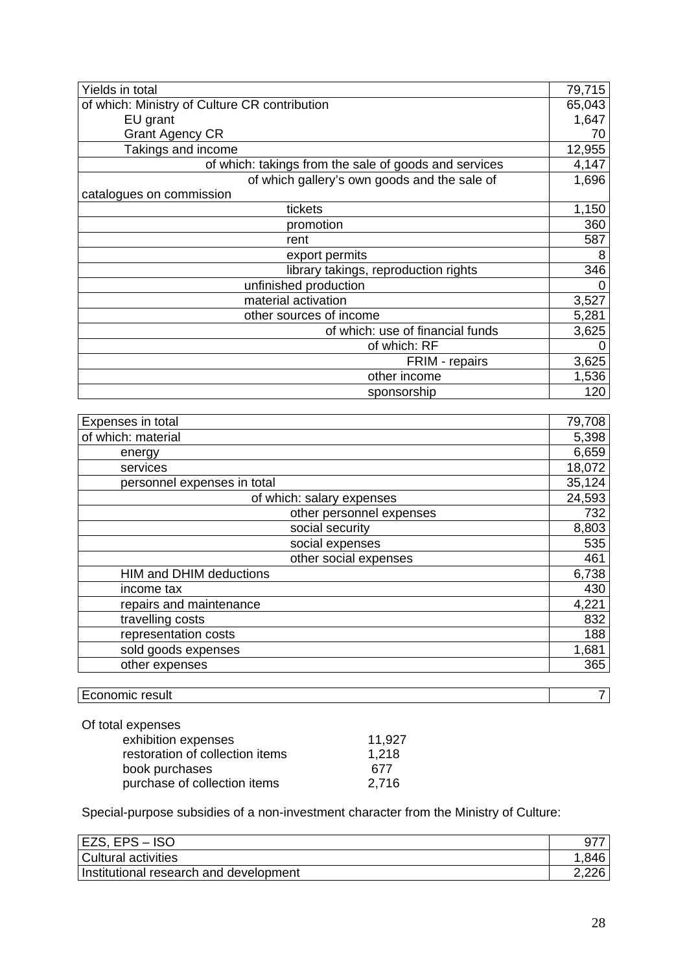| Yields in total                                       | 79,715      |
|-------------------------------------------------------|-------------|
| of which: Ministry of Culture CR contribution         | 65,043      |
| EU grant                                              | 1,647       |
| <b>Grant Agency CR</b>                                | 70          |
| Takings and income                                    | 12,955      |
| of which: takings from the sale of goods and services | 4,147       |
| of which gallery's own goods and the sale of          | 1,696       |
| catalogues on commission                              |             |
| tickets                                               | 1,150       |
| promotion                                             | 360         |
| rent                                                  | 587         |
| export permits                                        | 8           |
| library takings, reproduction rights                  | 346         |
| unfinished production                                 | 0           |
| material activation                                   | 3,527       |
| other sources of income                               | 5,281       |
| of which: use of financial funds                      | 3,625       |
| of which: RF                                          | $\mathbf 0$ |
| FRIM - repairs                                        | 3,625       |
| other income                                          | 1,536       |
| sponsorship                                           | 120         |
|                                                       |             |

| Expenses in total              | 79,708 |
|--------------------------------|--------|
| of which: material             | 5,398  |
| energy                         | 6,659  |
| services                       | 18,072 |
| personnel expenses in total    | 35,124 |
| of which: salary expenses      | 24,593 |
| other personnel expenses       | 732    |
| social security                | 8,803  |
| social expenses                | 535    |
| other social expenses          | 461    |
| <b>HIM and DHIM deductions</b> | 6,738  |
| income tax                     | 430    |
| repairs and maintenance        | 4,221  |
| travelling costs               | 832    |
| representation costs           | 188    |
| sold goods expenses            | 1,681  |
| other expenses                 | 365    |
|                                |        |

Economic result 7

| Of total expenses               |        |
|---------------------------------|--------|
| exhibition expenses             | 11,927 |
| restoration of collection items | 1,218  |
| book purchases                  | 677    |
| purchase of collection items    | 2,716  |

Special-purpose subsidies of a non-investment character from the Ministry of Culture:

| EZS, EPS – ISO                         | 91   |
|----------------------------------------|------|
| Cultural activities                    | .846 |
| Institutional research and development |      |